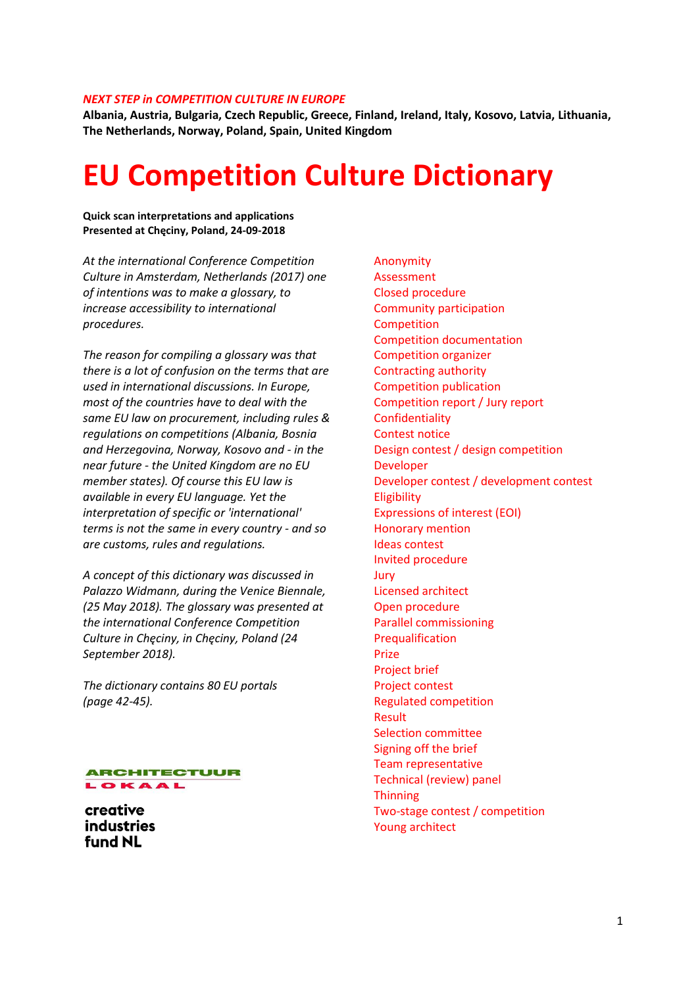#### *NEXT STEP in COMPETITION CULTURE IN EUROPE*

**Albania, Austria, Bulgaria, Czech Republic, Greece, Finland, Ireland, Italy, Kosovo, Latvia, Lithuania, The Netherlands, Norway, Poland, Spain, United Kingdom**

# **EU Competition Culture Dictionary**

**Quick scan interpretations and applications Presented at Chęciny, Poland, 24-09-2018**

*At the international Conference Competition Culture in Amsterdam, Netherlands (2017) one of intentions was to make a glossary, to increase accessibility to international procedures.*

*The reason for compiling a glossary was that there is a lot of confusion on the terms that are used in international discussions. In Europe, most of the countries have to deal with the same EU law on procurement, including rules & regulations on competitions (Albania, Bosnia and Herzegovina, Norway, Kosovo and - in the near future - the United Kingdom are no EU member states). Of course this EU law is available in every EU language. Yet the interpretation of specific or 'international' terms is not the same in every country - and so are customs, rules and regulations.* 

*A concept of this dictionary was discussed in Palazzo Widmann, during the Venice Biennale, (25 May 2018). The glossary was presented at the international Conference Competition Culture in Chęciny, in Chęciny, Poland (24 September 2018).*

*The dictionary contains 80 EU portals (page 42-45).*



creative **industries** fund NL

Anonymity Assessment Closed procedure Community participation **Competition** Competition documentation Competition organizer Contracting authority Competition publication Competition report / Jury report Confidentiality Contest notice Design contest / design competition Developer Developer contest / development contest Eligibility Expressions of interest (EOI) Honorary mention Ideas contest Invited procedure Jury Licensed architect Open procedure Parallel commissioning **Prequalification** Prize Project brief Project contest Regulated competition Result Selection committee Signing off the brief Team representative Technical (review) panel **Thinning** Two-stage contest / competition Young architect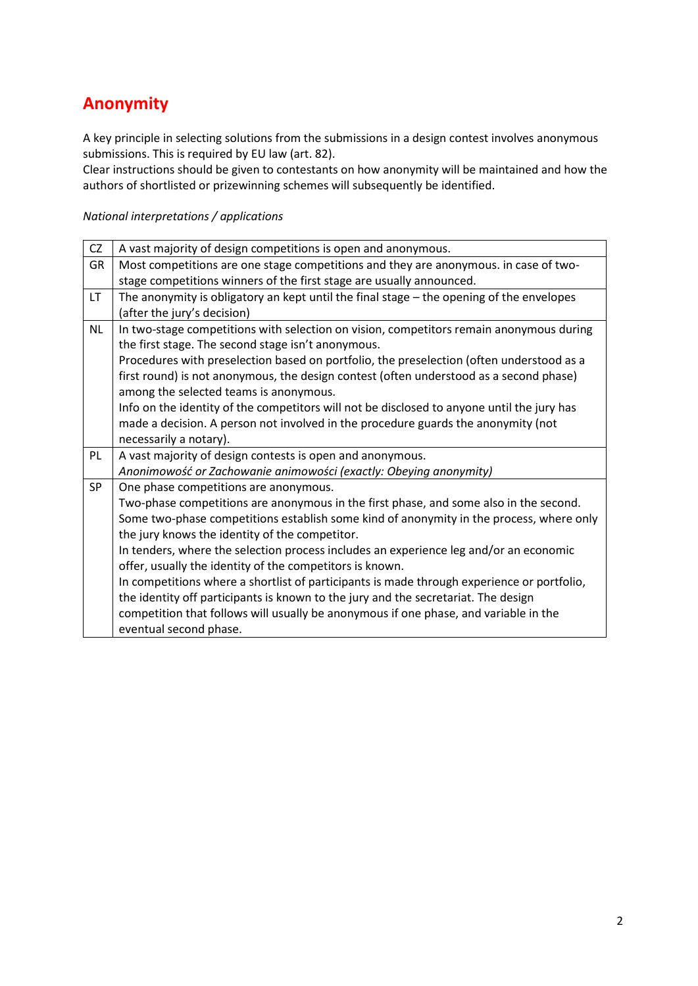## **Anonymity**

A key principle in selecting solutions from the submissions in a design contest involves anonymous submissions. This is required by EU law (art. 82).

Clear instructions should be given to contestants on how anonymity will be maintained and how the authors of shortlisted or prizewinning schemes will subsequently be identified.

| CZ        | A vast majority of design competitions is open and anonymous.                              |
|-----------|--------------------------------------------------------------------------------------------|
| GR        | Most competitions are one stage competitions and they are anonymous. in case of two-       |
|           | stage competitions winners of the first stage are usually announced.                       |
| LT.       | The anonymity is obligatory an kept until the final stage - the opening of the envelopes   |
|           | (after the jury's decision)                                                                |
| <b>NL</b> | In two-stage competitions with selection on vision, competitors remain anonymous during    |
|           | the first stage. The second stage isn't anonymous.                                         |
|           | Procedures with preselection based on portfolio, the preselection (often understood as a   |
|           | first round) is not anonymous, the design contest (often understood as a second phase)     |
|           | among the selected teams is anonymous.                                                     |
|           | Info on the identity of the competitors will not be disclosed to anyone until the jury has |
|           | made a decision. A person not involved in the procedure guards the anonymity (not          |
|           | necessarily a notary).                                                                     |
| PL        | A vast majority of design contests is open and anonymous.                                  |
|           | Anonimowość or Zachowanie animowości (exactly: Obeying anonymity)                          |
| <b>SP</b> | One phase competitions are anonymous.                                                      |
|           | Two-phase competitions are anonymous in the first phase, and some also in the second.      |
|           | Some two-phase competitions establish some kind of anonymity in the process, where only    |
|           | the jury knows the identity of the competitor.                                             |
|           | In tenders, where the selection process includes an experience leg and/or an economic      |
|           | offer, usually the identity of the competitors is known.                                   |
|           | In competitions where a shortlist of participants is made through experience or portfolio, |
|           | the identity off participants is known to the jury and the secretariat. The design         |
|           | competition that follows will usually be anonymous if one phase, and variable in the       |
|           | eventual second phase.                                                                     |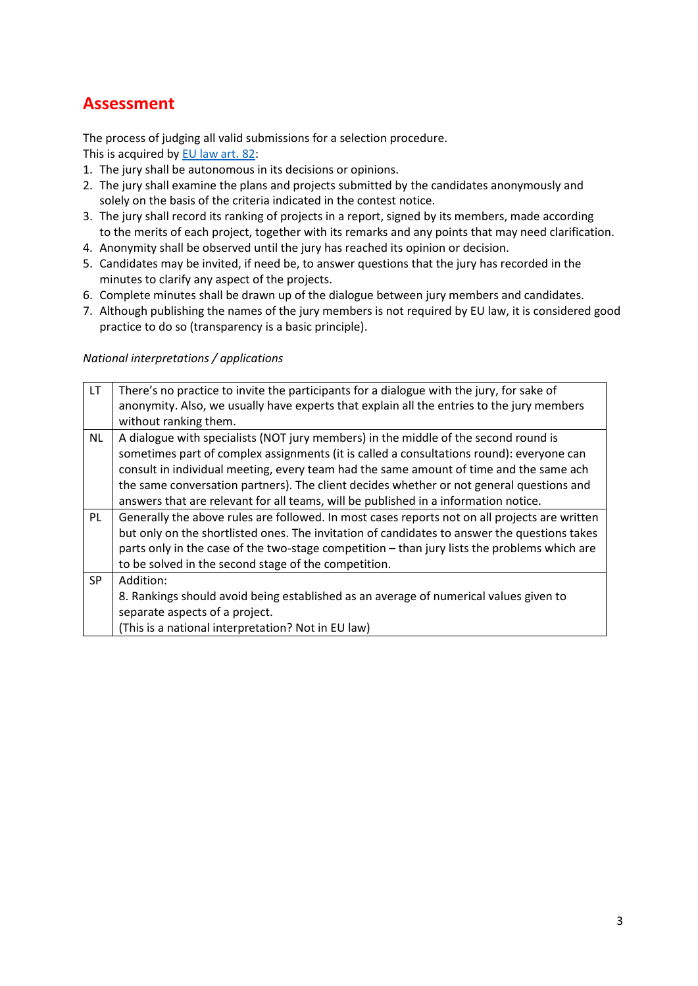### **Assessment**

The process of judging all valid submissions for a selection procedure. This is acquired by [EU law art. 82:](http://eur-lex.europa.eu/legal-content/EN/ALL/?uri=CELEX%3A32014L0024)

- 1. The jury shall be autonomous in its decisions or opinions.
- 2. The jury shall examine the plans and projects submitted by the candidates anonymously and solely on the basis of the criteria indicated in the contest notice.
- 3. The jury shall record its ranking of projects in a report, signed by its members, made according to the merits of each project, together with its remarks and any points that may need clarification.
- 4. Anonymity shall be observed until the jury has reached its opinion or decision.
- 5. Candidates may be invited, if need be, to answer questions that the jury has recorded in the minutes to clarify any aspect of the projects.
- 6. Complete minutes shall be drawn up of the dialogue between jury members and candidates.
- 7. Although publishing the names of the jury members is not required by EU law, it is considered good practice to do so (transparency is a basic principle).

| LT.       | There's no practice to invite the participants for a dialogue with the jury, for sake of      |
|-----------|-----------------------------------------------------------------------------------------------|
|           | anonymity. Also, we usually have experts that explain all the entries to the jury members     |
|           | without ranking them.                                                                         |
| <b>NL</b> | A dialogue with specialists (NOT jury members) in the middle of the second round is           |
|           | sometimes part of complex assignments (it is called a consultations round): everyone can      |
|           | consult in individual meeting, every team had the same amount of time and the same ach        |
|           | the same conversation partners). The client decides whether or not general questions and      |
|           | answers that are relevant for all teams, will be published in a information notice.           |
| PL        | Generally the above rules are followed. In most cases reports not on all projects are written |
|           | but only on the shortlisted ones. The invitation of candidates to answer the questions takes  |
|           | parts only in the case of the two-stage competition – than jury lists the problems which are  |
|           | to be solved in the second stage of the competition.                                          |
| <b>SP</b> | Addition:                                                                                     |
|           | 8. Rankings should avoid being established as an average of numerical values given to         |
|           | separate aspects of a project.                                                                |
|           | (This is a national interpretation? Not in EU law)                                            |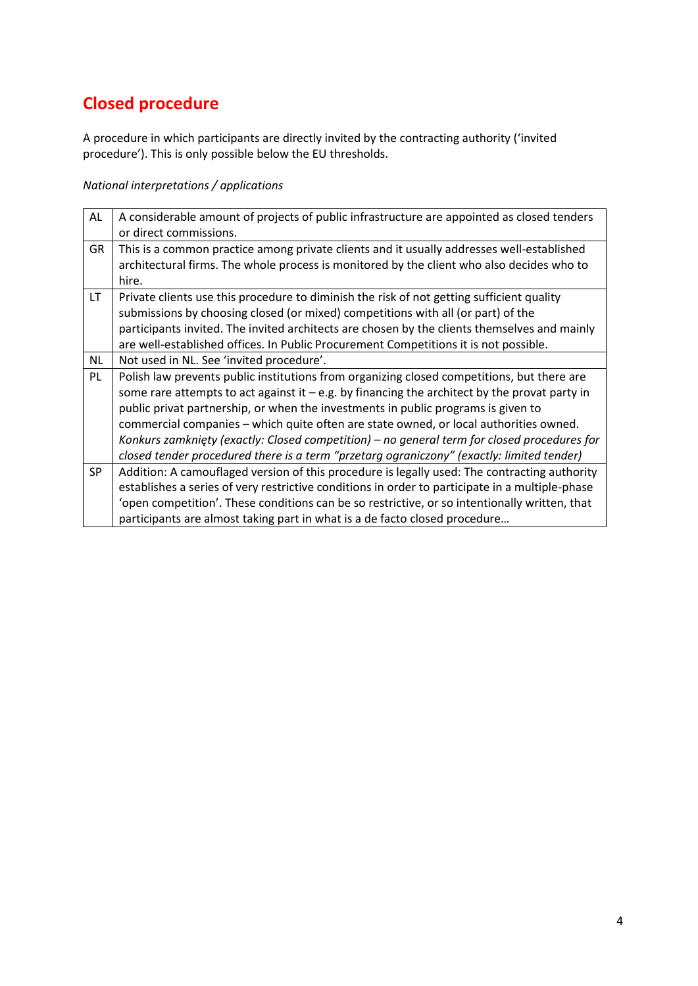# **Closed procedure**

A procedure in which participants are directly invited by the contracting authority ('invited procedure'). This is only possible below the EU thresholds.

| AL        | A considerable amount of projects of public infrastructure are appointed as closed tenders<br>or direct commissions.                                                                                                                                                                                                                                                                                                                                                                                                                                                   |
|-----------|------------------------------------------------------------------------------------------------------------------------------------------------------------------------------------------------------------------------------------------------------------------------------------------------------------------------------------------------------------------------------------------------------------------------------------------------------------------------------------------------------------------------------------------------------------------------|
| GR        | This is a common practice among private clients and it usually addresses well-established<br>architectural firms. The whole process is monitored by the client who also decides who to                                                                                                                                                                                                                                                                                                                                                                                 |
|           | hire.                                                                                                                                                                                                                                                                                                                                                                                                                                                                                                                                                                  |
| <b>LT</b> | Private clients use this procedure to diminish the risk of not getting sufficient quality<br>submissions by choosing closed (or mixed) competitions with all (or part) of the<br>participants invited. The invited architects are chosen by the clients themselves and mainly<br>are well-established offices. In Public Procurement Competitions it is not possible.                                                                                                                                                                                                  |
| NL        | Not used in NL. See 'invited procedure'.                                                                                                                                                                                                                                                                                                                                                                                                                                                                                                                               |
| PL        | Polish law prevents public institutions from organizing closed competitions, but there are<br>some rare attempts to act against it $-e.g.$ by financing the architect by the provat party in<br>public privat partnership, or when the investments in public programs is given to<br>commercial companies – which quite often are state owned, or local authorities owned.<br>Konkurs zamknięty (exactly: Closed competition) – no general term for closed procedures for<br>closed tender procedured there is a term "przetarg ograniczony" (exactly: limited tender) |
| <b>SP</b> | Addition: A camouflaged version of this procedure is legally used: The contracting authority<br>establishes a series of very restrictive conditions in order to participate in a multiple-phase<br>'open competition'. These conditions can be so restrictive, or so intentionally written, that<br>participants are almost taking part in what is a de facto closed procedure                                                                                                                                                                                         |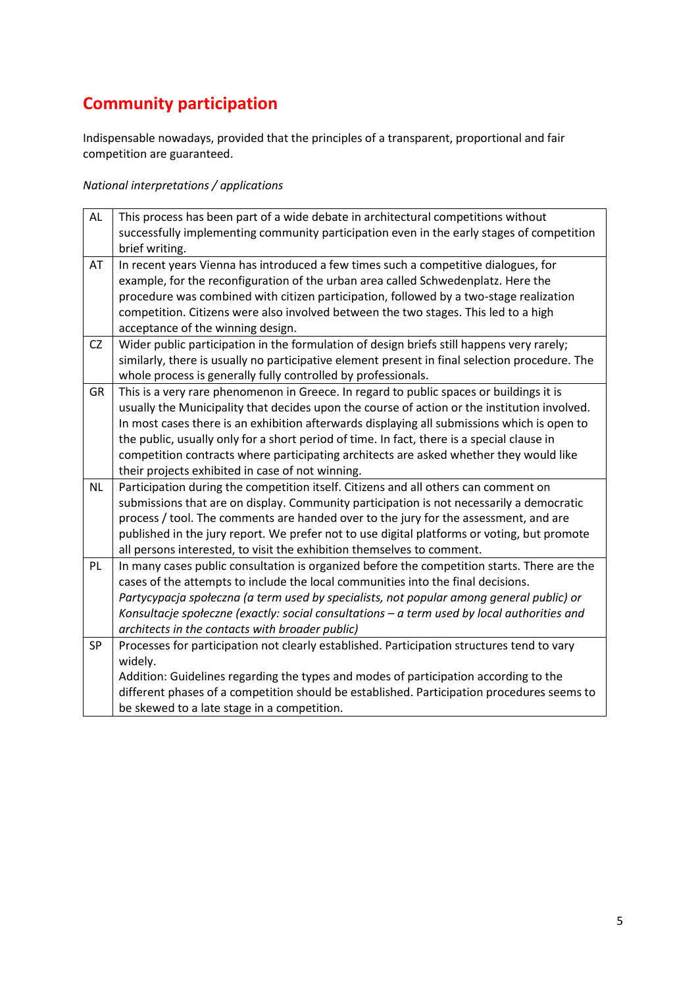# **Community participation**

Indispensable nowadays, provided that the principles of a transparent, proportional and fair competition are guaranteed.

| $\mathsf{AL}$ | This process has been part of a wide debate in architectural competitions without              |
|---------------|------------------------------------------------------------------------------------------------|
|               | successfully implementing community participation even in the early stages of competition      |
|               | brief writing.                                                                                 |
| AT            | In recent years Vienna has introduced a few times such a competitive dialogues, for            |
|               | example, for the reconfiguration of the urban area called Schwedenplatz. Here the              |
|               | procedure was combined with citizen participation, followed by a two-stage realization         |
|               | competition. Citizens were also involved between the two stages. This led to a high            |
|               | acceptance of the winning design.                                                              |
| <b>CZ</b>     | Wider public participation in the formulation of design briefs still happens very rarely;      |
|               | similarly, there is usually no participative element present in final selection procedure. The |
|               | whole process is generally fully controlled by professionals.                                  |
| <b>GR</b>     | This is a very rare phenomenon in Greece. In regard to public spaces or buildings it is        |
|               | usually the Municipality that decides upon the course of action or the institution involved.   |
|               | In most cases there is an exhibition afterwards displaying all submissions which is open to    |
|               | the public, usually only for a short period of time. In fact, there is a special clause in     |
|               | competition contracts where participating architects are asked whether they would like         |
|               | their projects exhibited in case of not winning.                                               |
| NL            | Participation during the competition itself. Citizens and all others can comment on            |
|               | submissions that are on display. Community participation is not necessarily a democratic       |
|               | process / tool. The comments are handed over to the jury for the assessment, and are           |
|               | published in the jury report. We prefer not to use digital platforms or voting, but promote    |
|               | all persons interested, to visit the exhibition themselves to comment.                         |
| PL            | In many cases public consultation is organized before the competition starts. There are the    |
|               | cases of the attempts to include the local communities into the final decisions.               |
|               | Partycypacja społeczna (a term used by specialists, not popular among general public) or       |
|               | Konsultacje społeczne (exactly: social consultations - a term used by local authorities and    |
|               | architects in the contacts with broader public)                                                |
| SP            | Processes for participation not clearly established. Participation structures tend to vary     |
|               | widely.                                                                                        |
|               | Addition: Guidelines regarding the types and modes of participation according to the           |
|               | different phases of a competition should be established. Participation procedures seems to     |
|               | be skewed to a late stage in a competition.                                                    |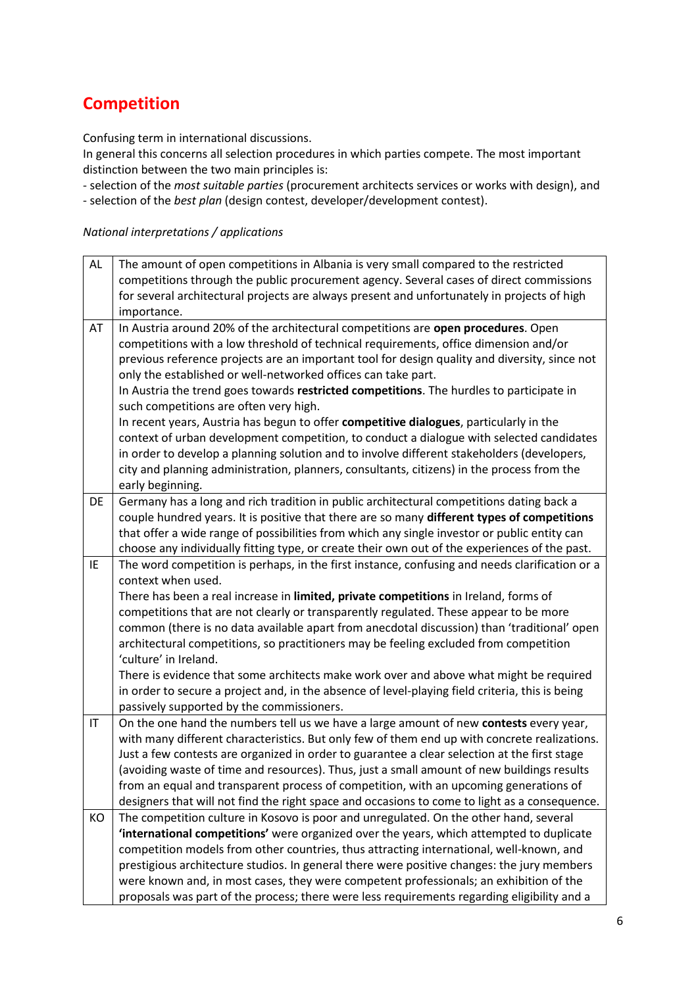## **Competition**

Confusing term in international discussions.

In general this concerns all selection procedures in which parties compete. The most important distinction between the two main principles is:

- selection of the *most suitable parties* (procurement architects services or works with design), and - selection of the *best plan* (design contest, developer/development contest).

| AL                     | The amount of open competitions in Albania is very small compared to the restricted             |
|------------------------|-------------------------------------------------------------------------------------------------|
|                        | competitions through the public procurement agency. Several cases of direct commissions         |
|                        | for several architectural projects are always present and unfortunately in projects of high     |
|                        | importance.                                                                                     |
| AT                     | In Austria around 20% of the architectural competitions are open procedures. Open               |
|                        | competitions with a low threshold of technical requirements, office dimension and/or            |
|                        | previous reference projects are an important tool for design quality and diversity, since not   |
|                        | only the established or well-networked offices can take part.                                   |
|                        | In Austria the trend goes towards restricted competitions. The hurdles to participate in        |
|                        | such competitions are often very high.                                                          |
|                        | In recent years, Austria has begun to offer competitive dialogues, particularly in the          |
|                        | context of urban development competition, to conduct a dialogue with selected candidates        |
|                        | in order to develop a planning solution and to involve different stakeholders (developers,      |
|                        | city and planning administration, planners, consultants, citizens) in the process from the      |
|                        | early beginning.                                                                                |
| DE                     | Germany has a long and rich tradition in public architectural competitions dating back a        |
|                        | couple hundred years. It is positive that there are so many different types of competitions     |
|                        | that offer a wide range of possibilities from which any single investor or public entity can    |
|                        | choose any individually fitting type, or create their own out of the experiences of the past.   |
| IE                     | The word competition is perhaps, in the first instance, confusing and needs clarification or a  |
|                        | context when used.                                                                              |
|                        | There has been a real increase in limited, private competitions in Ireland, forms of            |
|                        | competitions that are not clearly or transparently regulated. These appear to be more           |
|                        | common (there is no data available apart from anecdotal discussion) than 'traditional' open     |
|                        | architectural competitions, so practitioners may be feeling excluded from competition           |
|                        | 'culture' in Ireland.                                                                           |
|                        | There is evidence that some architects make work over and above what might be required          |
|                        | in order to secure a project and, in the absence of level-playing field criteria, this is being |
|                        | passively supported by the commissioners.                                                       |
| $\mathsf{I}\mathsf{T}$ | On the one hand the numbers tell us we have a large amount of new contests every year,          |
|                        | with many different characteristics. But only few of them end up with concrete realizations.    |
|                        | Just a few contests are organized in order to guarantee a clear selection at the first stage    |
|                        | (avoiding waste of time and resources). Thus, just a small amount of new buildings results      |
|                        | from an equal and transparent process of competition, with an upcoming generations of           |
|                        | designers that will not find the right space and occasions to come to light as a consequence.   |
| KO                     | The competition culture in Kosovo is poor and unregulated. On the other hand, several           |
|                        | 'international competitions' were organized over the years, which attempted to duplicate        |
|                        | competition models from other countries, thus attracting international, well-known, and         |
|                        | prestigious architecture studios. In general there were positive changes: the jury members      |
|                        | were known and, in most cases, they were competent professionals; an exhibition of the          |
|                        | proposals was part of the process; there were less requirements regarding eligibility and a     |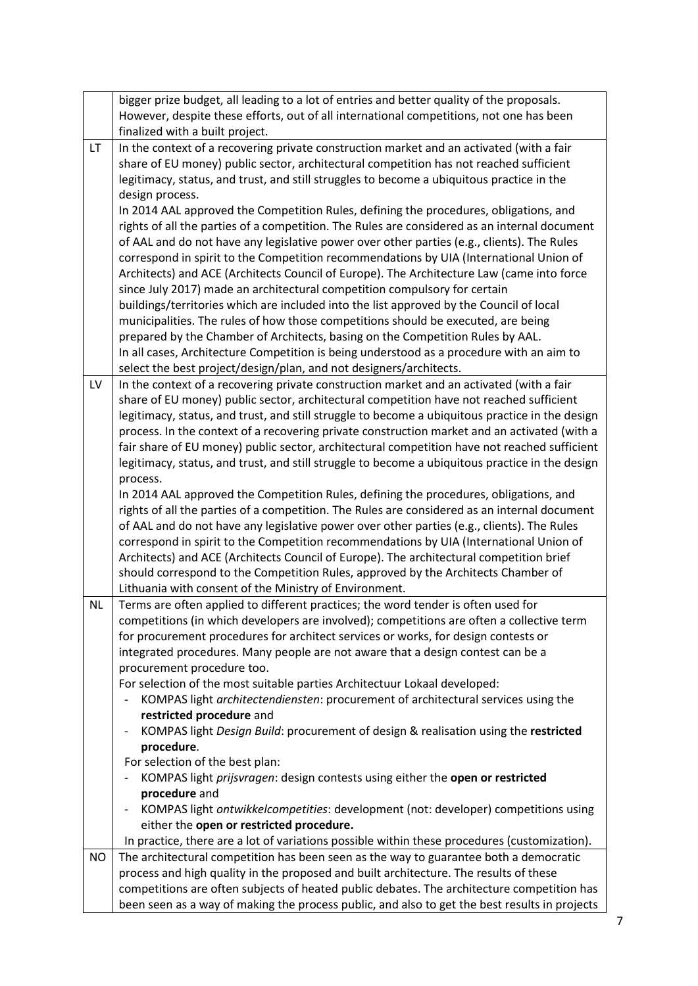|           | bigger prize budget, all leading to a lot of entries and better quality of the proposals.<br>However, despite these efforts, out of all international competitions, not one has been<br>finalized with a built project.                                                                                                                                                                                                                                                                                                                                                                                                                                                                                                                                                                                                                                                                                                                                                                                                                                                                                                                                                                                                     |
|-----------|-----------------------------------------------------------------------------------------------------------------------------------------------------------------------------------------------------------------------------------------------------------------------------------------------------------------------------------------------------------------------------------------------------------------------------------------------------------------------------------------------------------------------------------------------------------------------------------------------------------------------------------------------------------------------------------------------------------------------------------------------------------------------------------------------------------------------------------------------------------------------------------------------------------------------------------------------------------------------------------------------------------------------------------------------------------------------------------------------------------------------------------------------------------------------------------------------------------------------------|
| LT.       | In the context of a recovering private construction market and an activated (with a fair<br>share of EU money) public sector, architectural competition has not reached sufficient<br>legitimacy, status, and trust, and still struggles to become a ubiquitous practice in the<br>design process.<br>In 2014 AAL approved the Competition Rules, defining the procedures, obligations, and<br>rights of all the parties of a competition. The Rules are considered as an internal document<br>of AAL and do not have any legislative power over other parties (e.g., clients). The Rules<br>correspond in spirit to the Competition recommendations by UIA (International Union of<br>Architects) and ACE (Architects Council of Europe). The Architecture Law (came into force<br>since July 2017) made an architectural competition compulsory for certain<br>buildings/territories which are included into the list approved by the Council of local<br>municipalities. The rules of how those competitions should be executed, are being<br>prepared by the Chamber of Architects, basing on the Competition Rules by AAL.<br>In all cases, Architecture Competition is being understood as a procedure with an aim to |
| LV        | select the best project/design/plan, and not designers/architects.<br>In the context of a recovering private construction market and an activated (with a fair                                                                                                                                                                                                                                                                                                                                                                                                                                                                                                                                                                                                                                                                                                                                                                                                                                                                                                                                                                                                                                                              |
|           | share of EU money) public sector, architectural competition have not reached sufficient<br>legitimacy, status, and trust, and still struggle to become a ubiquitous practice in the design<br>process. In the context of a recovering private construction market and an activated (with a<br>fair share of EU money) public sector, architectural competition have not reached sufficient<br>legitimacy, status, and trust, and still struggle to become a ubiquitous practice in the design<br>process.<br>In 2014 AAL approved the Competition Rules, defining the procedures, obligations, and<br>rights of all the parties of a competition. The Rules are considered as an internal document<br>of AAL and do not have any legislative power over other parties (e.g., clients). The Rules                                                                                                                                                                                                                                                                                                                                                                                                                            |
|           | correspond in spirit to the Competition recommendations by UIA (International Union of<br>Architects) and ACE (Architects Council of Europe). The architectural competition brief<br>should correspond to the Competition Rules, approved by the Architects Chamber of<br>Lithuania with consent of the Ministry of Environment.                                                                                                                                                                                                                                                                                                                                                                                                                                                                                                                                                                                                                                                                                                                                                                                                                                                                                            |
| <b>NL</b> | Terms are often applied to different practices; the word tender is often used for<br>competitions (in which developers are involved); competitions are often a collective term<br>for procurement procedures for architect services or works, for design contests or<br>integrated procedures. Many people are not aware that a design contest can be a<br>procurement procedure too.<br>For selection of the most suitable parties Architectuur Lokaal developed:                                                                                                                                                                                                                                                                                                                                                                                                                                                                                                                                                                                                                                                                                                                                                          |
|           | KOMPAS light architectendiensten: procurement of architectural services using the<br>$\qquad \qquad \blacksquare$<br>restricted procedure and<br>KOMPAS light Design Build: procurement of design & realisation using the restricted<br>$\qquad \qquad -$<br>procedure.<br>For selection of the best plan:                                                                                                                                                                                                                                                                                                                                                                                                                                                                                                                                                                                                                                                                                                                                                                                                                                                                                                                  |
|           | KOMPAS light prijsvragen: design contests using either the open or restricted<br>procedure and                                                                                                                                                                                                                                                                                                                                                                                                                                                                                                                                                                                                                                                                                                                                                                                                                                                                                                                                                                                                                                                                                                                              |
|           | KOMPAS light ontwikkelcompetities: development (not: developer) competitions using<br>$\overline{\phantom{m}}$<br>either the open or restricted procedure.                                                                                                                                                                                                                                                                                                                                                                                                                                                                                                                                                                                                                                                                                                                                                                                                                                                                                                                                                                                                                                                                  |
|           | In practice, there are a lot of variations possible within these procedures (customization).                                                                                                                                                                                                                                                                                                                                                                                                                                                                                                                                                                                                                                                                                                                                                                                                                                                                                                                                                                                                                                                                                                                                |
| <b>NO</b> | The architectural competition has been seen as the way to guarantee both a democratic<br>process and high quality in the proposed and built architecture. The results of these<br>competitions are often subjects of heated public debates. The architecture competition has<br>been seen as a way of making the process public, and also to get the best results in projects                                                                                                                                                                                                                                                                                                                                                                                                                                                                                                                                                                                                                                                                                                                                                                                                                                               |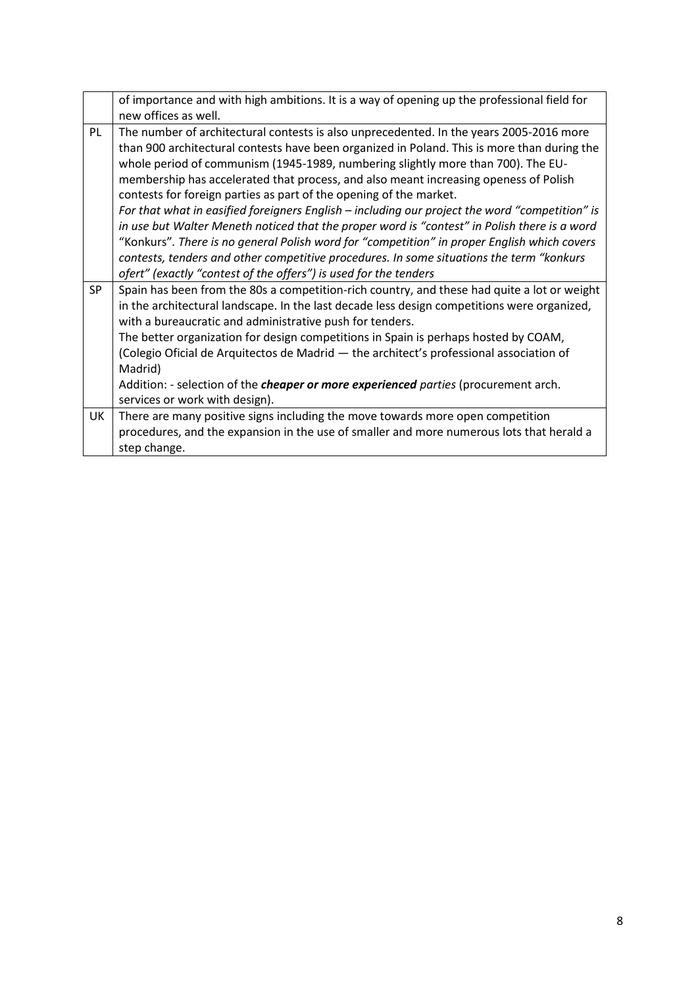|           | of importance and with high ambitions. It is a way of opening up the professional field for    |
|-----------|------------------------------------------------------------------------------------------------|
|           | new offices as well.                                                                           |
| PL        | The number of architectural contests is also unprecedented. In the years 2005-2016 more        |
|           | than 900 architectural contests have been organized in Poland. This is more than during the    |
|           | whole period of communism (1945-1989, numbering slightly more than 700). The EU-               |
|           | membership has accelerated that process, and also meant increasing openess of Polish           |
|           | contests for foreign parties as part of the opening of the market.                             |
|           | For that what in easified foreigners English - including our project the word "competition" is |
|           | in use but Walter Meneth noticed that the proper word is "contest" in Polish there is a word   |
|           | "Konkurs". There is no general Polish word for "competition" in proper English which covers    |
|           | contests, tenders and other competitive procedures. In some situations the term "konkurs       |
|           | ofert" (exactly "contest of the offers") is used for the tenders                               |
| <b>SP</b> | Spain has been from the 80s a competition-rich country, and these had quite a lot or weight    |
|           | in the architectural landscape. In the last decade less design competitions were organized,    |
|           | with a bureaucratic and administrative push for tenders.                                       |
|           | The better organization for design competitions in Spain is perhaps hosted by COAM,            |
|           | (Colegio Oficial de Arquitectos de Madrid - the architect's professional association of        |
|           | Madrid)                                                                                        |
|           | Addition: - selection of the <i>cheaper or more experienced parties</i> (procurement arch.     |
|           | services or work with design).                                                                 |
| UK        | There are many positive signs including the move towards more open competition                 |
|           | procedures, and the expansion in the use of smaller and more numerous lots that herald a       |
|           | step change.                                                                                   |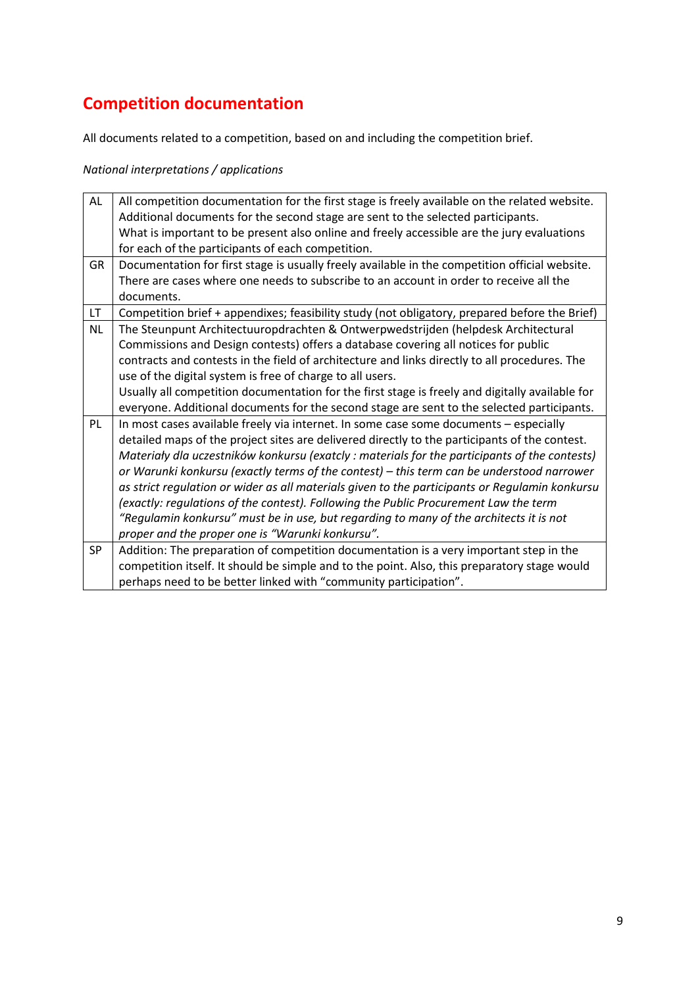# **Competition documentation**

All documents related to a competition, based on and including the competition brief.

| AL        | All competition documentation for the first stage is freely available on the related website.   |
|-----------|-------------------------------------------------------------------------------------------------|
|           | Additional documents for the second stage are sent to the selected participants.                |
|           | What is important to be present also online and freely accessible are the jury evaluations      |
|           | for each of the participants of each competition.                                               |
| <b>GR</b> | Documentation for first stage is usually freely available in the competition official website.  |
|           | There are cases where one needs to subscribe to an account in order to receive all the          |
|           | documents.                                                                                      |
| LT.       | Competition brief + appendixes; feasibility study (not obligatory, prepared before the Brief)   |
| <b>NL</b> | The Steunpunt Architectuuropdrachten & Ontwerpwedstrijden (helpdesk Architectural               |
|           | Commissions and Design contests) offers a database covering all notices for public              |
|           | contracts and contests in the field of architecture and links directly to all procedures. The   |
|           | use of the digital system is free of charge to all users.                                       |
|           | Usually all competition documentation for the first stage is freely and digitally available for |
|           | everyone. Additional documents for the second stage are sent to the selected participants.      |
| PL        | In most cases available freely via internet. In some case some documents - especially           |
|           | detailed maps of the project sites are delivered directly to the participants of the contest.   |
|           | Materiały dla uczestników konkursu (exatcly: materials for the participants of the contests)    |
|           | or Warunki konkursu (exactly terms of the contest) - this term can be understood narrower       |
|           | as strict regulation or wider as all materials given to the participants or Regulamin konkursu  |
|           | (exactly: regulations of the contest). Following the Public Procurement Law the term            |
|           | "Regulamin konkursu" must be in use, but regarding to many of the architects it is not          |
|           | proper and the proper one is "Warunki konkursu".                                                |
| <b>SP</b> | Addition: The preparation of competition documentation is a very important step in the          |
|           | competition itself. It should be simple and to the point. Also, this preparatory stage would    |
|           | perhaps need to be better linked with "community participation".                                |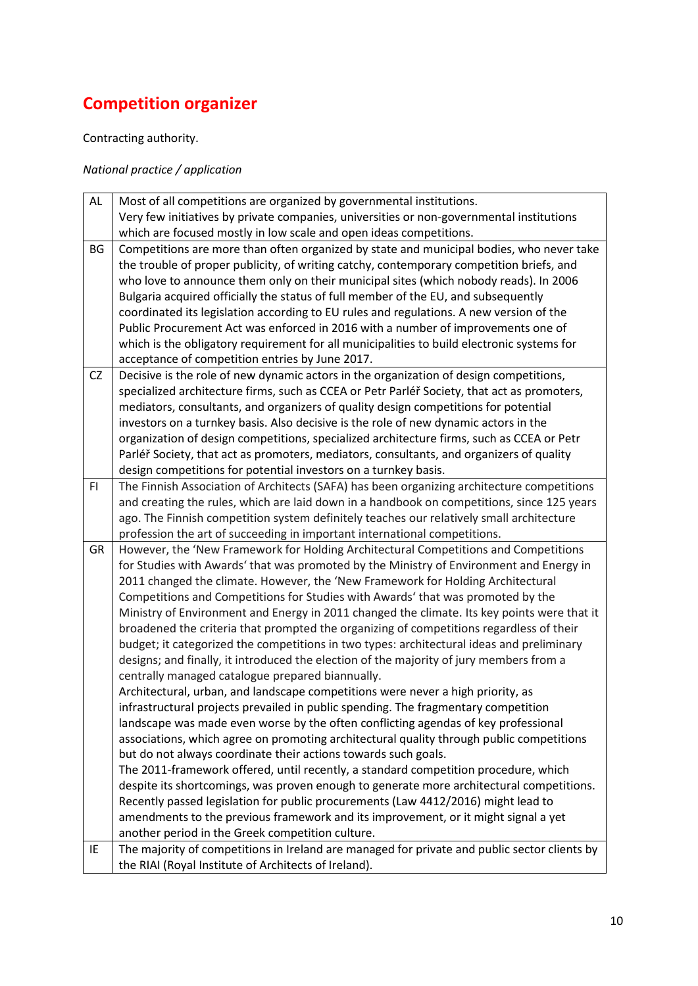# **Competition organizer**

### Contracting authority.

### *National practice / application*

| AL        | Most of all competitions are organized by governmental institutions.                         |
|-----------|----------------------------------------------------------------------------------------------|
|           | Very few initiatives by private companies, universities or non-governmental institutions     |
|           | which are focused mostly in low scale and open ideas competitions.                           |
| BG        | Competitions are more than often organized by state and municipal bodies, who never take     |
|           | the trouble of proper publicity, of writing catchy, contemporary competition briefs, and     |
|           | who love to announce them only on their municipal sites (which nobody reads). In 2006        |
|           | Bulgaria acquired officially the status of full member of the EU, and subsequently           |
|           | coordinated its legislation according to EU rules and regulations. A new version of the      |
|           | Public Procurement Act was enforced in 2016 with a number of improvements one of             |
|           | which is the obligatory requirement for all municipalities to build electronic systems for   |
|           | acceptance of competition entries by June 2017.                                              |
| <b>CZ</b> | Decisive is the role of new dynamic actors in the organization of design competitions,       |
|           | specialized architecture firms, such as CCEA or Petr Parléř Society, that act as promoters,  |
|           | mediators, consultants, and organizers of quality design competitions for potential          |
|           | investors on a turnkey basis. Also decisive is the role of new dynamic actors in the         |
|           | organization of design competitions, specialized architecture firms, such as CCEA or Petr    |
|           | Parléř Society, that act as promoters, mediators, consultants, and organizers of quality     |
|           | design competitions for potential investors on a turnkey basis.                              |
| F1        | The Finnish Association of Architects (SAFA) has been organizing architecture competitions   |
|           | and creating the rules, which are laid down in a handbook on competitions, since 125 years   |
|           | ago. The Finnish competition system definitely teaches our relatively small architecture     |
|           | profession the art of succeeding in important international competitions.                    |
| GR        | However, the 'New Framework for Holding Architectural Competitions and Competitions          |
|           | for Studies with Awards' that was promoted by the Ministry of Environment and Energy in      |
|           | 2011 changed the climate. However, the 'New Framework for Holding Architectural              |
|           | Competitions and Competitions for Studies with Awards' that was promoted by the              |
|           | Ministry of Environment and Energy in 2011 changed the climate. Its key points were that it  |
|           | broadened the criteria that prompted the organizing of competitions regardless of their      |
|           | budget; it categorized the competitions in two types: architectural ideas and preliminary    |
|           | designs; and finally, it introduced the election of the majority of jury members from a      |
|           | centrally managed catalogue prepared biannually.                                             |
|           | Architectural, urban, and landscape competitions were never a high priority, as              |
|           | infrastructural projects prevailed in public spending. The fragmentary competition           |
|           | landscape was made even worse by the often conflicting agendas of key professional           |
|           | associations, which agree on promoting architectural quality through public competitions     |
|           | but do not always coordinate their actions towards such goals.                               |
|           | The 2011-framework offered, until recently, a standard competition procedure, which          |
|           | despite its shortcomings, was proven enough to generate more architectural competitions.     |
|           | Recently passed legislation for public procurements (Law 4412/2016) might lead to            |
|           | amendments to the previous framework and its improvement, or it might signal a yet           |
|           | another period in the Greek competition culture.                                             |
| IE        | The majority of competitions in Ireland are managed for private and public sector clients by |
|           | the RIAI (Royal Institute of Architects of Ireland).                                         |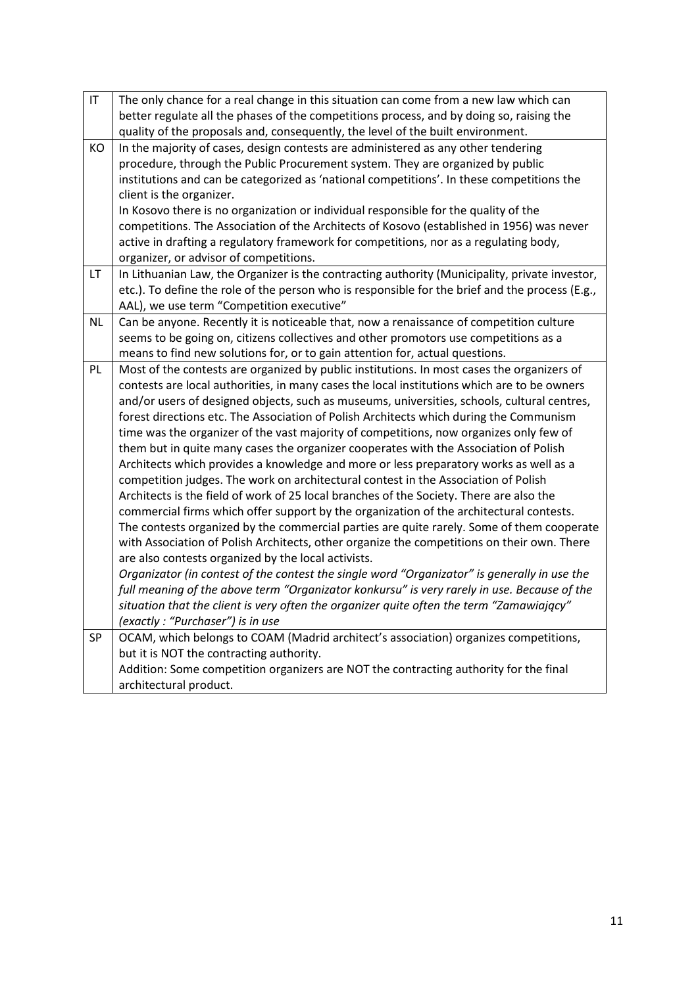| IT | The only chance for a real change in this situation can come from a new law which can<br>better regulate all the phases of the competitions process, and by doing so, raising the<br>quality of the proposals and, consequently, the level of the built environment. |
|----|----------------------------------------------------------------------------------------------------------------------------------------------------------------------------------------------------------------------------------------------------------------------|
| KO | In the majority of cases, design contests are administered as any other tendering                                                                                                                                                                                    |
|    | procedure, through the Public Procurement system. They are organized by public                                                                                                                                                                                       |
|    | institutions and can be categorized as 'national competitions'. In these competitions the                                                                                                                                                                            |
|    |                                                                                                                                                                                                                                                                      |
|    | client is the organizer.                                                                                                                                                                                                                                             |
|    | In Kosovo there is no organization or individual responsible for the quality of the                                                                                                                                                                                  |
|    | competitions. The Association of the Architects of Kosovo (established in 1956) was never                                                                                                                                                                            |
|    | active in drafting a regulatory framework for competitions, nor as a regulating body,                                                                                                                                                                                |
|    | organizer, or advisor of competitions.                                                                                                                                                                                                                               |
| LT | In Lithuanian Law, the Organizer is the contracting authority (Municipality, private investor,                                                                                                                                                                       |
|    | etc.). To define the role of the person who is responsible for the brief and the process (E.g.,                                                                                                                                                                      |
|    | AAL), we use term "Competition executive"                                                                                                                                                                                                                            |
| NL | Can be anyone. Recently it is noticeable that, now a renaissance of competition culture                                                                                                                                                                              |
|    | seems to be going on, citizens collectives and other promotors use competitions as a                                                                                                                                                                                 |
|    | means to find new solutions for, or to gain attention for, actual questions.                                                                                                                                                                                         |
| PL | Most of the contests are organized by public institutions. In most cases the organizers of                                                                                                                                                                           |
|    | contests are local authorities, in many cases the local institutions which are to be owners                                                                                                                                                                          |
|    | and/or users of designed objects, such as museums, universities, schools, cultural centres,                                                                                                                                                                          |
|    | forest directions etc. The Association of Polish Architects which during the Communism                                                                                                                                                                               |
|    | time was the organizer of the vast majority of competitions, now organizes only few of                                                                                                                                                                               |
|    | them but in quite many cases the organizer cooperates with the Association of Polish                                                                                                                                                                                 |
|    | Architects which provides a knowledge and more or less preparatory works as well as a                                                                                                                                                                                |
|    | competition judges. The work on architectural contest in the Association of Polish                                                                                                                                                                                   |
|    | Architects is the field of work of 25 local branches of the Society. There are also the                                                                                                                                                                              |
|    | commercial firms which offer support by the organization of the architectural contests.                                                                                                                                                                              |
|    | The contests organized by the commercial parties are quite rarely. Some of them cooperate                                                                                                                                                                            |
|    | with Association of Polish Architects, other organize the competitions on their own. There                                                                                                                                                                           |
|    | are also contests organized by the local activists.                                                                                                                                                                                                                  |
|    | Organizator (in contest of the contest the single word "Organizator" is generally in use the                                                                                                                                                                         |
|    | full meaning of the above term "Organizator konkursu" is very rarely in use. Because of the                                                                                                                                                                          |
|    | situation that the client is very often the organizer quite often the term "Zamawiający"                                                                                                                                                                             |
|    | (exactly: "Purchaser") is in use                                                                                                                                                                                                                                     |
| SP | OCAM, which belongs to COAM (Madrid architect's association) organizes competitions,                                                                                                                                                                                 |
|    | but it is NOT the contracting authority.                                                                                                                                                                                                                             |
|    | Addition: Some competition organizers are NOT the contracting authority for the final                                                                                                                                                                                |
|    | architectural product.                                                                                                                                                                                                                                               |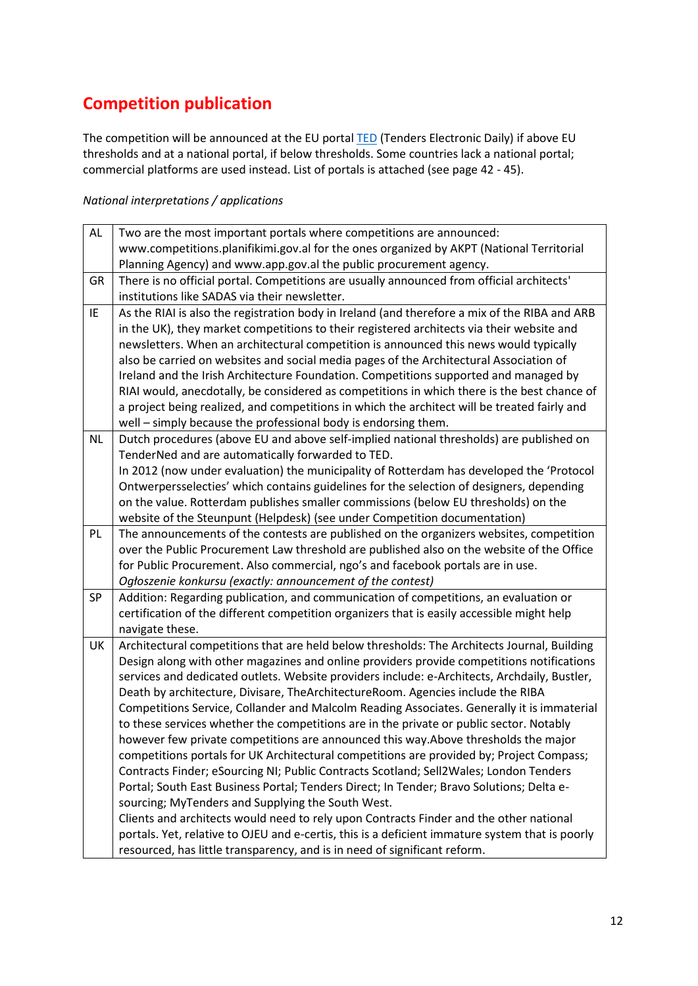### **Competition publication**

The competition will be announced at the EU portal [TED](http://ted.europa.eu/TED/main/HomePage.do) (Tenders Electronic Daily) if above EU thresholds and at a national portal, if below thresholds. Some countries lack a national portal; commercial platforms are used instead. List of portals is attached (see page 42 - 45).

| AL        | Two are the most important portals where competitions are announced:                            |
|-----------|-------------------------------------------------------------------------------------------------|
|           | www.competitions.planifikimi.gov.al for the ones organized by AKPT (National Territorial        |
|           | Planning Agency) and www.app.gov.al the public procurement agency.                              |
| GR        | There is no official portal. Competitions are usually announced from official architects'       |
|           | institutions like SADAS via their newsletter.                                                   |
| IE        | As the RIAI is also the registration body in Ireland (and therefore a mix of the RIBA and ARB   |
|           | in the UK), they market competitions to their registered architects via their website and       |
|           | newsletters. When an architectural competition is announced this news would typically           |
|           | also be carried on websites and social media pages of the Architectural Association of          |
|           | Ireland and the Irish Architecture Foundation. Competitions supported and managed by            |
|           | RIAI would, anecdotally, be considered as competitions in which there is the best chance of     |
|           | a project being realized, and competitions in which the architect will be treated fairly and    |
|           | well - simply because the professional body is endorsing them.                                  |
| <b>NL</b> | Dutch procedures (above EU and above self-implied national thresholds) are published on         |
|           | TenderNed and are automatically forwarded to TED.                                               |
|           | In 2012 (now under evaluation) the municipality of Rotterdam has developed the 'Protocol        |
|           | Ontwerpersselecties' which contains guidelines for the selection of designers, depending        |
|           | on the value. Rotterdam publishes smaller commissions (below EU thresholds) on the              |
|           | website of the Steunpunt (Helpdesk) (see under Competition documentation)                       |
| PL        | The announcements of the contests are published on the organizers websites, competition         |
|           | over the Public Procurement Law threshold are published also on the website of the Office       |
|           | for Public Procurement. Also commercial, ngo's and facebook portals are in use.                 |
|           | Ogłoszenie konkursu (exactly: announcement of the contest)                                      |
| SP        | Addition: Regarding publication, and communication of competitions, an evaluation or            |
|           | certification of the different competition organizers that is easily accessible might help      |
|           | navigate these.                                                                                 |
| UK        | Architectural competitions that are held below thresholds: The Architects Journal, Building     |
|           | Design along with other magazines and online providers provide competitions notifications       |
|           | services and dedicated outlets. Website providers include: e-Architects, Archdaily, Bustler,    |
|           | Death by architecture, Divisare, TheArchitectureRoom. Agencies include the RIBA                 |
|           | Competitions Service, Collander and Malcolm Reading Associates. Generally it is immaterial      |
|           | to these services whether the competitions are in the private or public sector. Notably         |
|           | however few private competitions are announced this way. Above thresholds the major             |
|           | competitions portals for UK Architectural competitions are provided by; Project Compass;        |
|           | Contracts Finder; eSourcing NI; Public Contracts Scotland; Sell2Wales; London Tenders           |
|           | Portal; South East Business Portal; Tenders Direct; In Tender; Bravo Solutions; Delta e-        |
|           | sourcing; MyTenders and Supplying the South West.                                               |
|           | Clients and architects would need to rely upon Contracts Finder and the other national          |
|           | portals. Yet, relative to OJEU and e-certis, this is a deficient immature system that is poorly |
|           | resourced, has little transparency, and is in need of significant reform.                       |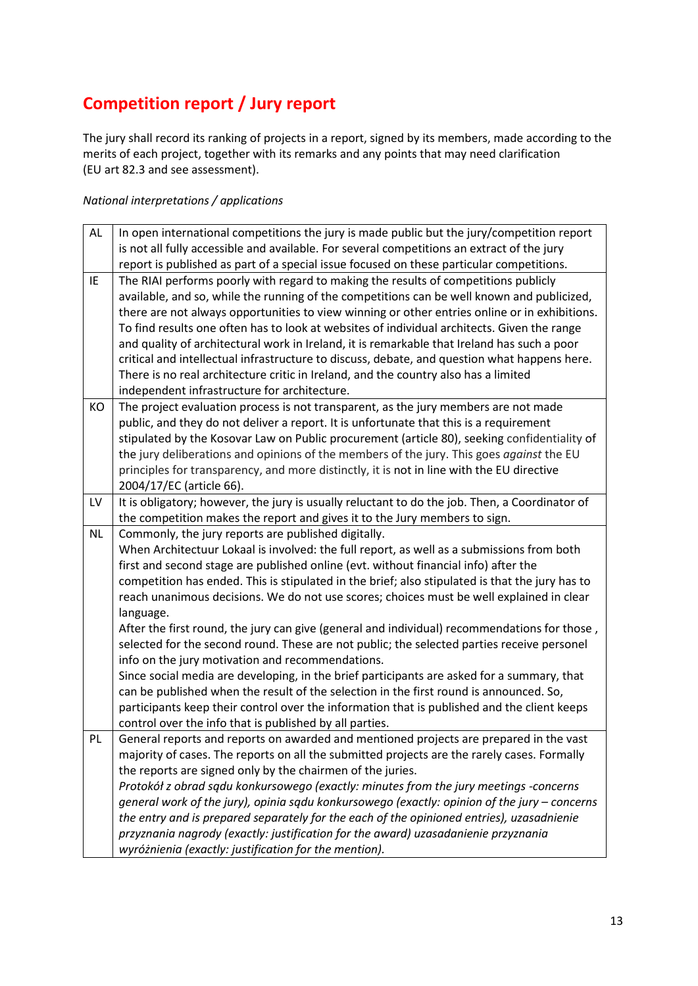## **Competition report / Jury report**

The jury shall record its ranking of projects in a report, signed by its members, made according to the merits of each project, together with its remarks and any points that may need clarification (EU art 82.3 and see assessment).

| AL        | In open international competitions the jury is made public but the jury/competition report      |
|-----------|-------------------------------------------------------------------------------------------------|
|           | is not all fully accessible and available. For several competitions an extract of the jury      |
|           | report is published as part of a special issue focused on these particular competitions.        |
| IE        | The RIAI performs poorly with regard to making the results of competitions publicly             |
|           | available, and so, while the running of the competitions can be well known and publicized,      |
|           | there are not always opportunities to view winning or other entries online or in exhibitions.   |
|           | To find results one often has to look at websites of individual architects. Given the range     |
|           | and quality of architectural work in Ireland, it is remarkable that Ireland has such a poor     |
|           | critical and intellectual infrastructure to discuss, debate, and question what happens here.    |
|           | There is no real architecture critic in Ireland, and the country also has a limited             |
|           | independent infrastructure for architecture.                                                    |
| KO        | The project evaluation process is not transparent, as the jury members are not made             |
|           | public, and they do not deliver a report. It is unfortunate that this is a requirement          |
|           | stipulated by the Kosovar Law on Public procurement (article 80), seeking confidentiality of    |
|           | the jury deliberations and opinions of the members of the jury. This goes against the EU        |
|           | principles for transparency, and more distinctly, it is not in line with the EU directive       |
|           | 2004/17/EC (article 66).                                                                        |
| LV        | It is obligatory; however, the jury is usually reluctant to do the job. Then, a Coordinator of  |
|           | the competition makes the report and gives it to the Jury members to sign.                      |
| <b>NL</b> | Commonly, the jury reports are published digitally.                                             |
|           | When Architectuur Lokaal is involved: the full report, as well as a submissions from both       |
|           | first and second stage are published online (evt. without financial info) after the             |
|           | competition has ended. This is stipulated in the brief; also stipulated is that the jury has to |
|           | reach unanimous decisions. We do not use scores; choices must be well explained in clear        |
|           | language.                                                                                       |
|           | After the first round, the jury can give (general and individual) recommendations for those,    |
|           | selected for the second round. These are not public; the selected parties receive personel      |
|           | info on the jury motivation and recommendations.                                                |
|           | Since social media are developing, in the brief participants are asked for a summary, that      |
|           | can be published when the result of the selection in the first round is announced. So,          |
|           | participants keep their control over the information that is published and the client keeps     |
|           | control over the info that is published by all parties.                                         |
| PL        | General reports and reports on awarded and mentioned projects are prepared in the vast          |
|           | majority of cases. The reports on all the submitted projects are the rarely cases. Formally     |
|           | the reports are signed only by the chairmen of the juries.                                      |
|           | Protokół z obrad sądu konkursowego (exactly: minutes from the jury meetings -concerns           |
|           | general work of the jury), opinia sądu konkursowego (exactly: opinion of the jury - concerns    |
|           | the entry and is prepared separately for the each of the opinioned entries), uzasadnienie       |
|           | przyznania nagrody (exactly: justification for the award) uzasadanienie przyznania              |
|           | wyróżnienia (exactly: justification for the mention).                                           |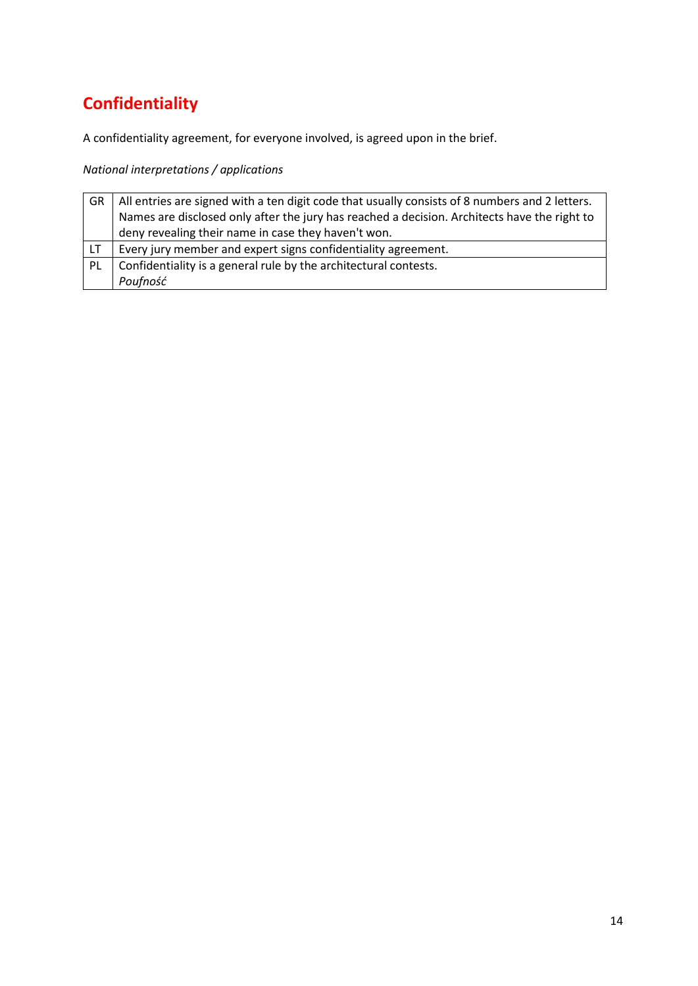# **Confidentiality**

A confidentiality agreement, for everyone involved, is agreed upon in the brief.

| GR. | All entries are signed with a ten digit code that usually consists of 8 numbers and 2 letters. |
|-----|------------------------------------------------------------------------------------------------|
|     | Names are disclosed only after the jury has reached a decision. Architects have the right to   |
|     | deny revealing their name in case they haven't won.                                            |
| LT. | Every jury member and expert signs confidentiality agreement.                                  |
| PL  | Confidentiality is a general rule by the architectural contests.                               |
|     | Poufność                                                                                       |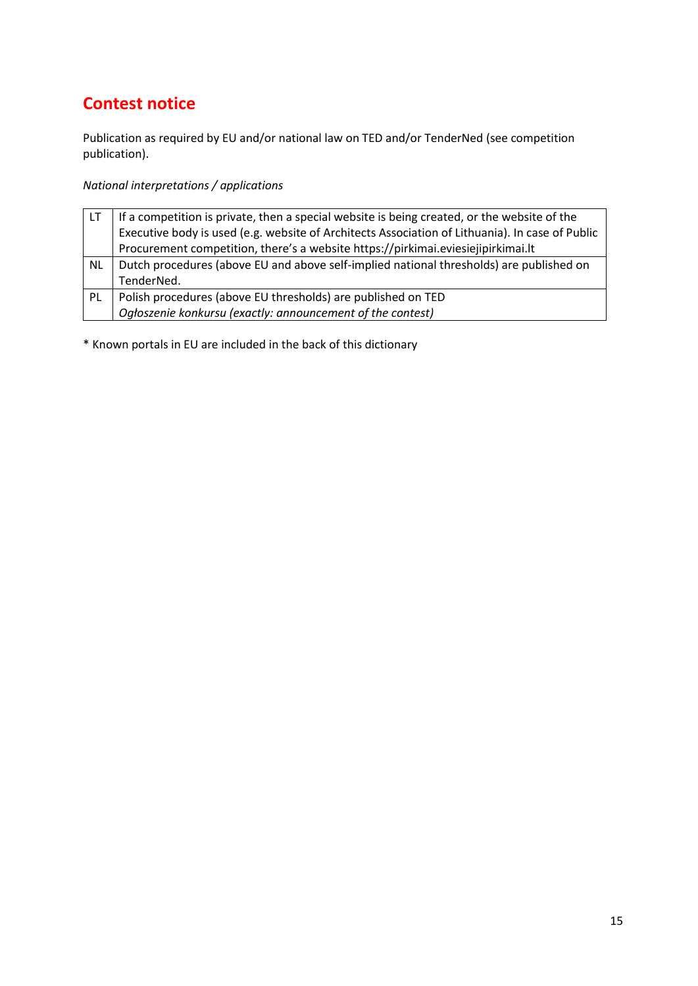## **Contest notice**

Publication as required by EU and/or national law on TED and/or TenderNed (see competition publication).

### *National interpretations / applications*

| I LT | If a competition is private, then a special website is being created, or the website of the     |
|------|-------------------------------------------------------------------------------------------------|
|      | Executive body is used (e.g. website of Architects Association of Lithuania). In case of Public |
|      | Procurement competition, there's a website https://pirkimai.eviesiejipirkimai.lt                |
| NL   | Dutch procedures (above EU and above self-implied national thresholds) are published on         |
|      | TenderNed.                                                                                      |
| PL   | Polish procedures (above EU thresholds) are published on TED                                    |
|      | Ogłoszenie konkursu (exactly: announcement of the contest)                                      |

\* Known portals in EU are included in the back of this dictionary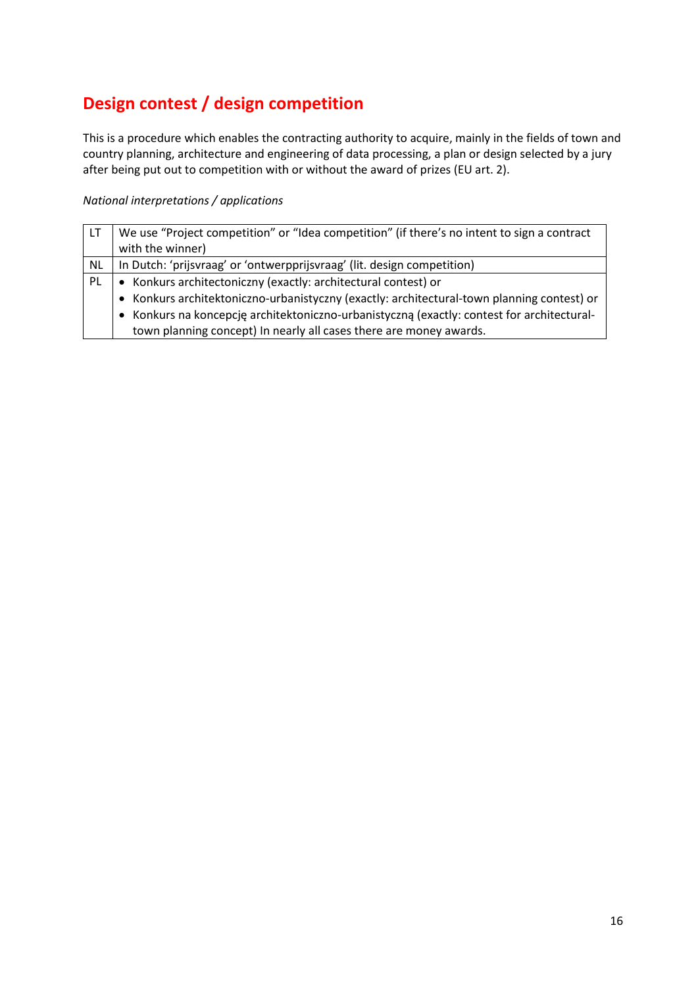# **Design contest / design competition**

This is a procedure which enables the contracting authority to acquire, mainly in the fields of town and country planning, architecture and engineering of data processing, a plan or design selected by a jury after being put out to competition with or without the award of prizes (EU art. 2).

| LT.       | We use "Project competition" or "Idea competition" (if there's no intent to sign a contract |
|-----------|---------------------------------------------------------------------------------------------|
|           | with the winner)                                                                            |
| <b>NL</b> | In Dutch: 'prijsvraag' or 'ontwerpprijsvraag' (lit. design competition)                     |
| -PL       | • Konkurs architectoniczny (exactly: architectural contest) or                              |
|           | • Konkurs architektoniczno-urbanistyczny (exactly: architectural-town planning contest) or  |
|           | • Konkurs na koncepcję architektoniczno-urbanistyczną (exactly: contest for architectural-  |
|           | town planning concept) In nearly all cases there are money awards.                          |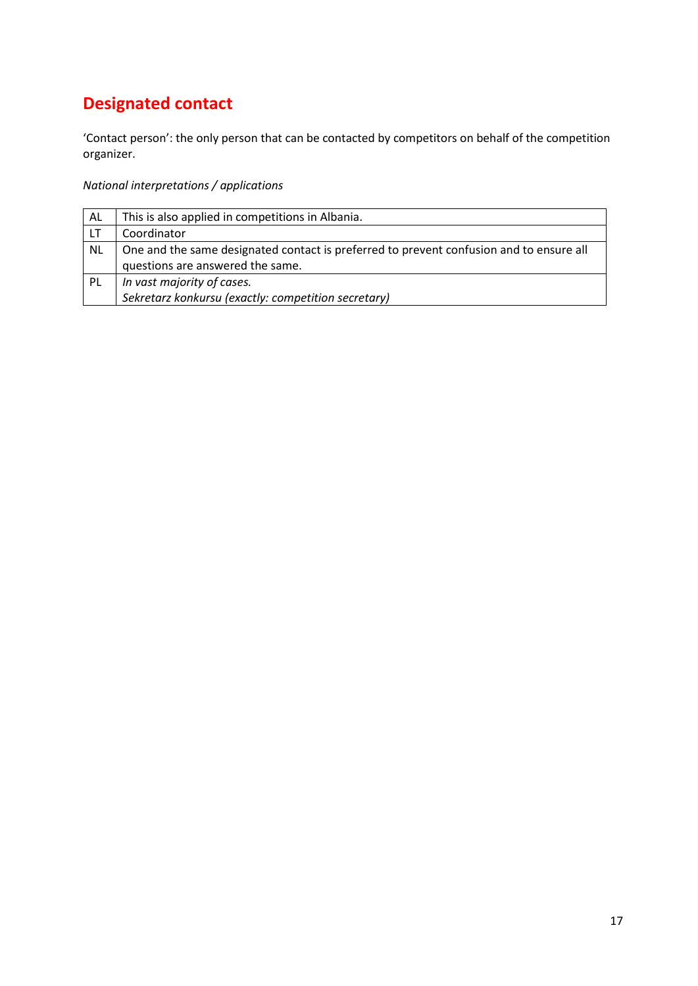# **Designated contact**

'Contact person': the only person that can be contacted by competitors on behalf of the competition organizer.

| AL        | This is also applied in competitions in Albania.                                                                            |
|-----------|-----------------------------------------------------------------------------------------------------------------------------|
|           | Coordinator                                                                                                                 |
| <b>NL</b> | One and the same designated contact is preferred to prevent confusion and to ensure all<br>questions are answered the same. |
| -PL       | In vast majority of cases.<br>Sekretarz konkursu (exactly: competition secretary)                                           |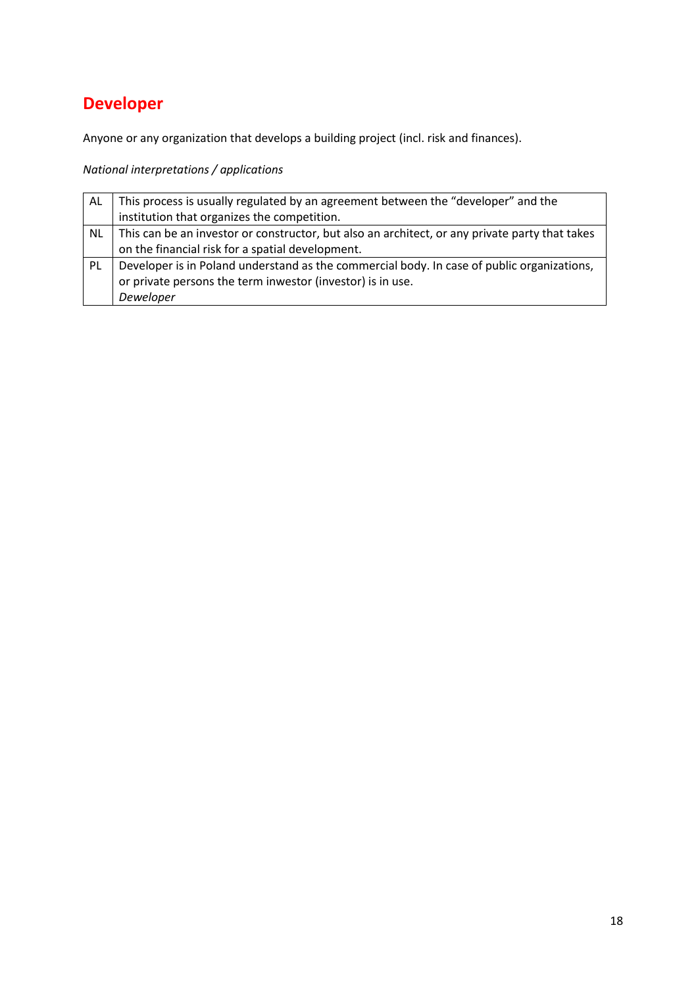# **Developer**

Anyone or any organization that develops a building project (incl. risk and finances).

| AL        | This process is usually regulated by an agreement between the "developer" and the              |
|-----------|------------------------------------------------------------------------------------------------|
|           | institution that organizes the competition.                                                    |
| <b>NL</b> | This can be an investor or constructor, but also an architect, or any private party that takes |
|           | on the financial risk for a spatial development.                                               |
| PL        | Developer is in Poland understand as the commercial body. In case of public organizations,     |
|           | or private persons the term inwestor (investor) is in use.                                     |
|           | Deweloper                                                                                      |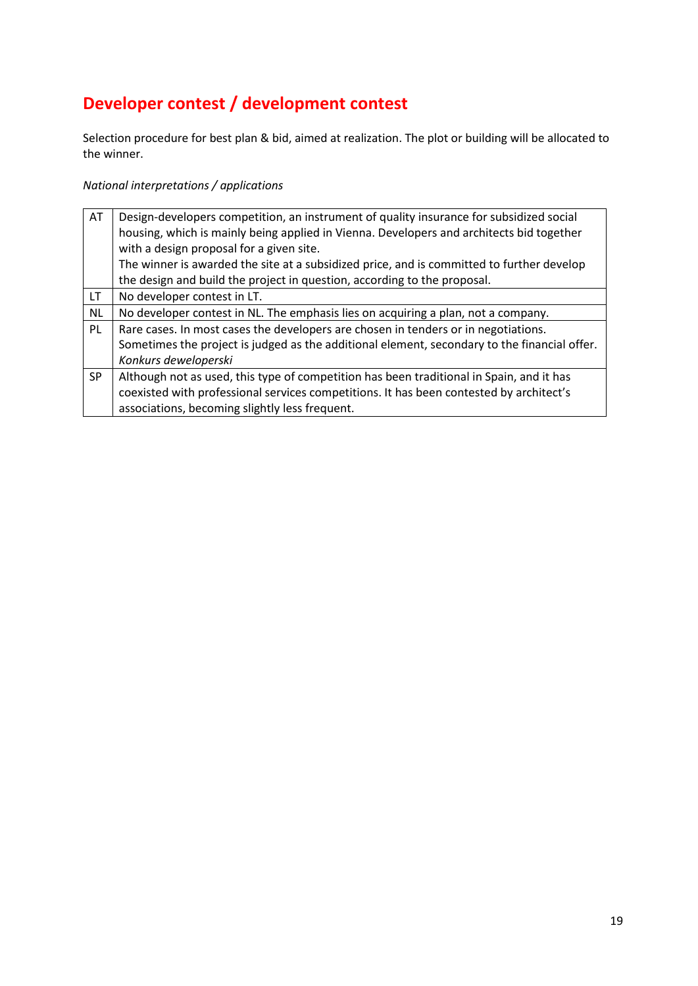# **Developer contest / development contest**

Selection procedure for best plan & bid, aimed at realization. The plot or building will be allocated to the winner.

| AT        | Design-developers competition, an instrument of quality insurance for subsidized social                                              |
|-----------|--------------------------------------------------------------------------------------------------------------------------------------|
|           | housing, which is mainly being applied in Vienna. Developers and architects bid together<br>with a design proposal for a given site. |
|           | The winner is awarded the site at a subsidized price, and is committed to further develop                                            |
|           | the design and build the project in question, according to the proposal.                                                             |
| LT.       | No developer contest in LT.                                                                                                          |
| <b>NL</b> | No developer contest in NL. The emphasis lies on acquiring a plan, not a company.                                                    |
| PL        | Rare cases. In most cases the developers are chosen in tenders or in negotiations.                                                   |
|           | Sometimes the project is judged as the additional element, secondary to the financial offer.                                         |
|           | Konkurs deweloperski                                                                                                                 |
| <b>SP</b> | Although not as used, this type of competition has been traditional in Spain, and it has                                             |
|           | coexisted with professional services competitions. It has been contested by architect's                                              |
|           | associations, becoming slightly less frequent.                                                                                       |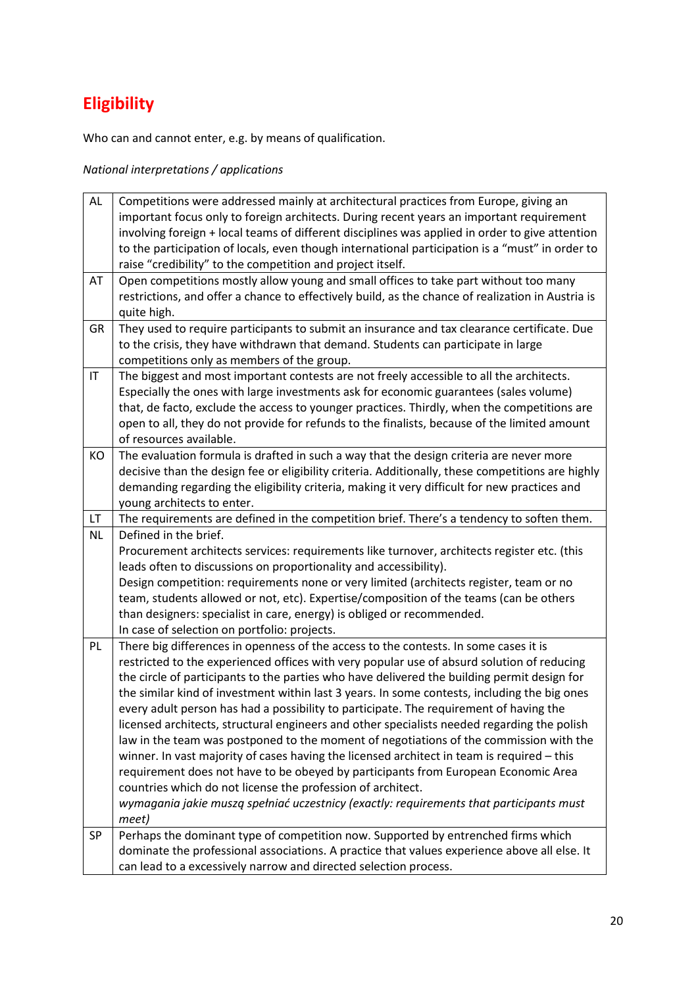# **Eligibility**

Who can and cannot enter, e.g. by means of qualification.

| AL                     | Competitions were addressed mainly at architectural practices from Europe, giving an              |
|------------------------|---------------------------------------------------------------------------------------------------|
|                        | important focus only to foreign architects. During recent years an important requirement          |
|                        | involving foreign + local teams of different disciplines was applied in order to give attention   |
|                        | to the participation of locals, even though international participation is a "must" in order to   |
|                        | raise "credibility" to the competition and project itself.                                        |
| AT                     | Open competitions mostly allow young and small offices to take part without too many              |
|                        | restrictions, and offer a chance to effectively build, as the chance of realization in Austria is |
|                        | quite high.                                                                                       |
| GR                     | They used to require participants to submit an insurance and tax clearance certificate. Due       |
|                        | to the crisis, they have withdrawn that demand. Students can participate in large                 |
|                        | competitions only as members of the group.                                                        |
| $\mathsf{I}\mathsf{T}$ | The biggest and most important contests are not freely accessible to all the architects.          |
|                        | Especially the ones with large investments ask for economic guarantees (sales volume)             |
|                        | that, de facto, exclude the access to younger practices. Thirdly, when the competitions are       |
|                        | open to all, they do not provide for refunds to the finalists, because of the limited amount      |
|                        | of resources available.                                                                           |
| KO                     | The evaluation formula is drafted in such a way that the design criteria are never more           |
|                        | decisive than the design fee or eligibility criteria. Additionally, these competitions are highly |
|                        | demanding regarding the eligibility criteria, making it very difficult for new practices and      |
|                        | young architects to enter.                                                                        |
| LT                     | The requirements are defined in the competition brief. There's a tendency to soften them.         |
| <b>NL</b>              | Defined in the brief.                                                                             |
|                        | Procurement architects services: requirements like turnover, architects register etc. (this       |
|                        | leads often to discussions on proportionality and accessibility).                                 |
|                        | Design competition: requirements none or very limited (architects register, team or no            |
|                        | team, students allowed or not, etc). Expertise/composition of the teams (can be others            |
|                        | than designers: specialist in care, energy) is obliged or recommended.                            |
|                        | In case of selection on portfolio: projects.                                                      |
| PL                     | There big differences in openness of the access to the contests. In some cases it is              |
|                        | restricted to the experienced offices with very popular use of absurd solution of reducing        |
|                        | the circle of participants to the parties who have delivered the building permit design for       |
|                        | the similar kind of investment within last 3 years. In some contests, including the big ones      |
|                        | every adult person has had a possibility to participate. The requirement of having the            |
|                        | licensed architects, structural engineers and other specialists needed regarding the polish       |
|                        | law in the team was postponed to the moment of negotiations of the commission with the            |
|                        | winner. In vast majority of cases having the licensed architect in team is required - this        |
|                        | requirement does not have to be obeyed by participants from European Economic Area                |
|                        | countries which do not license the profession of architect.                                       |
|                        | wymagania jakie muszą spełniać uczestnicy (exactly: requirements that participants must           |
|                        | meet)                                                                                             |
| <b>SP</b>              | Perhaps the dominant type of competition now. Supported by entrenched firms which                 |
|                        | dominate the professional associations. A practice that values experience above all else. It      |
|                        | can lead to a excessively narrow and directed selection process.                                  |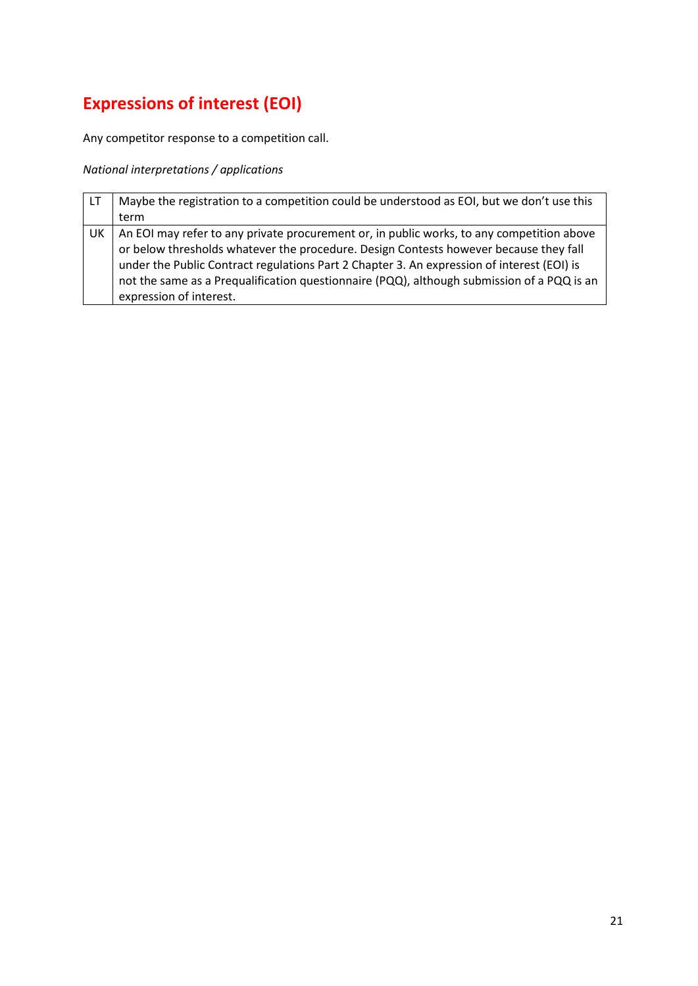# **Expressions of interest (EOI)**

Any competitor response to a competition call.

| -LT | Maybe the registration to a competition could be understood as EOI, but we don't use this                                                                                                                                                                                                                                                                                                                 |
|-----|-----------------------------------------------------------------------------------------------------------------------------------------------------------------------------------------------------------------------------------------------------------------------------------------------------------------------------------------------------------------------------------------------------------|
|     | term                                                                                                                                                                                                                                                                                                                                                                                                      |
| UK  | An EOI may refer to any private procurement or, in public works, to any competition above<br>or below thresholds whatever the procedure. Design Contests however because they fall<br>under the Public Contract regulations Part 2 Chapter 3. An expression of interest (EOI) is<br>not the same as a Prequalification questionnaire (PQQ), although submission of a PQQ is an<br>expression of interest. |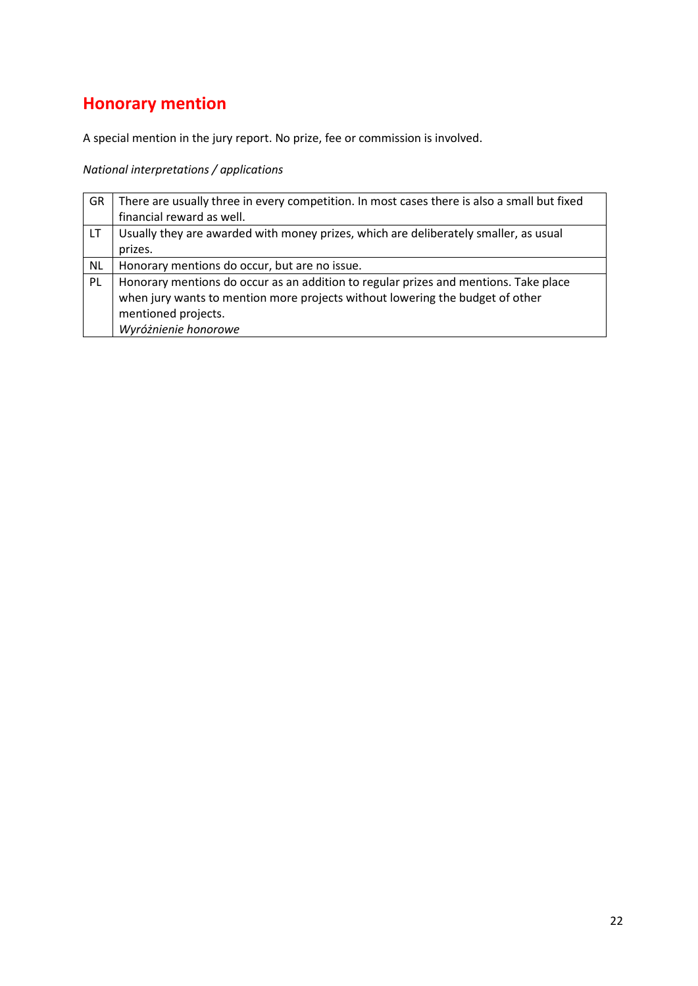## **Honorary mention**

A special mention in the jury report. No prize, fee or commission is involved.

| GR        | There are usually three in every competition. In most cases there is also a small but fixed |
|-----------|---------------------------------------------------------------------------------------------|
|           | financial reward as well.                                                                   |
| LT.       | Usually they are awarded with money prizes, which are deliberately smaller, as usual        |
|           | prizes.                                                                                     |
| <b>NL</b> | Honorary mentions do occur, but are no issue.                                               |
| PL        | Honorary mentions do occur as an addition to regular prizes and mentions. Take place        |
|           | when jury wants to mention more projects without lowering the budget of other               |
|           | mentioned projects.                                                                         |
|           | Wyróżnienie honorowe                                                                        |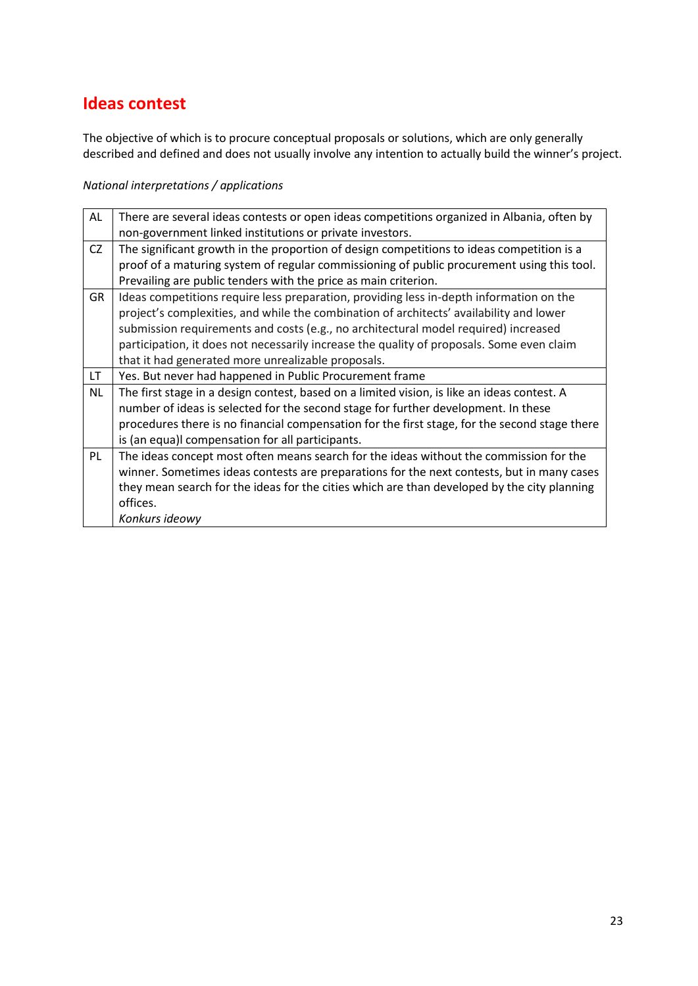### **Ideas contest**

The objective of which is to procure conceptual proposals or solutions, which are only generally described and defined and does not usually involve any intention to actually build the winner's project.

| <b>AL</b> | There are several ideas contests or open ideas competitions organized in Albania, often by    |
|-----------|-----------------------------------------------------------------------------------------------|
|           | non-government linked institutions or private investors.                                      |
| CZ        | The significant growth in the proportion of design competitions to ideas competition is a     |
|           | proof of a maturing system of regular commissioning of public procurement using this tool.    |
|           | Prevailing are public tenders with the price as main criterion.                               |
| <b>GR</b> | Ideas competitions require less preparation, providing less in-depth information on the       |
|           | project's complexities, and while the combination of architects' availability and lower       |
|           | submission requirements and costs (e.g., no architectural model required) increased           |
|           | participation, it does not necessarily increase the quality of proposals. Some even claim     |
|           | that it had generated more unrealizable proposals.                                            |
| LT        | Yes. But never had happened in Public Procurement frame                                       |
| <b>NL</b> | The first stage in a design contest, based on a limited vision, is like an ideas contest. A   |
|           | number of ideas is selected for the second stage for further development. In these            |
|           | procedures there is no financial compensation for the first stage, for the second stage there |
|           | is (an equa)I compensation for all participants.                                              |
| PL        | The ideas concept most often means search for the ideas without the commission for the        |
|           | winner. Sometimes ideas contests are preparations for the next contests, but in many cases    |
|           |                                                                                               |
|           | they mean search for the ideas for the cities which are than developed by the city planning   |
|           | offices.                                                                                      |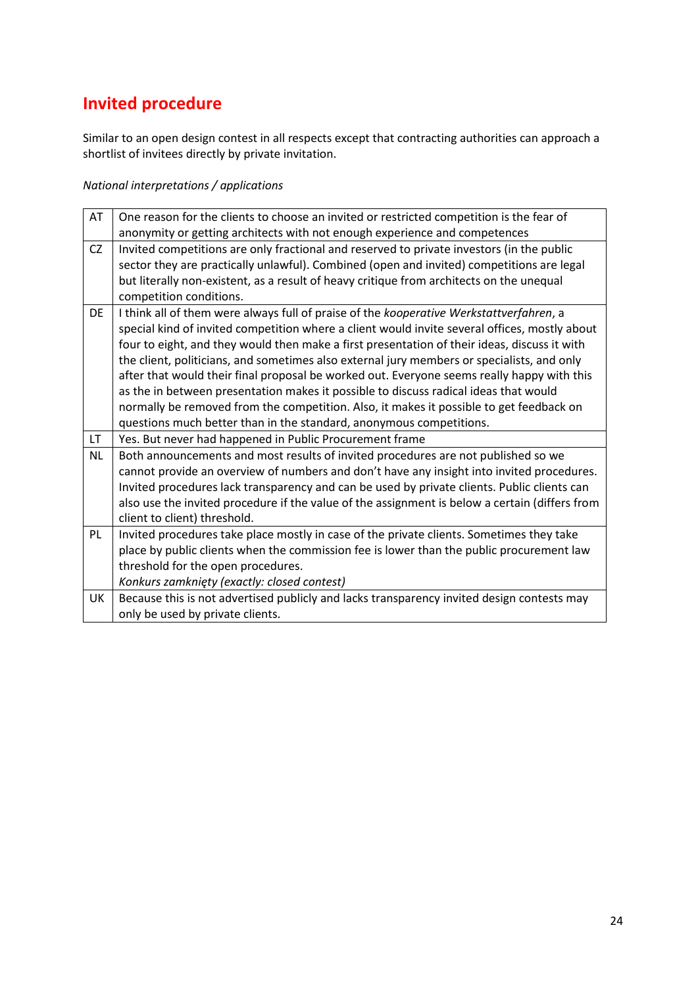# **Invited procedure**

Similar to an open design contest in all respects except that contracting authorities can approach a shortlist of invitees directly by private invitation.

| AT        | One reason for the clients to choose an invited or restricted competition is the fear of       |
|-----------|------------------------------------------------------------------------------------------------|
|           | anonymity or getting architects with not enough experience and competences                     |
| CZ        | Invited competitions are only fractional and reserved to private investors (in the public      |
|           | sector they are practically unlawful). Combined (open and invited) competitions are legal      |
|           | but literally non-existent, as a result of heavy critique from architects on the unequal       |
|           | competition conditions.                                                                        |
| DE        | I think all of them were always full of praise of the kooperative Werkstattverfahren, a        |
|           | special kind of invited competition where a client would invite several offices, mostly about  |
|           | four to eight, and they would then make a first presentation of their ideas, discuss it with   |
|           | the client, politicians, and sometimes also external jury members or specialists, and only     |
|           | after that would their final proposal be worked out. Everyone seems really happy with this     |
|           | as the in between presentation makes it possible to discuss radical ideas that would           |
|           | normally be removed from the competition. Also, it makes it possible to get feedback on        |
|           | questions much better than in the standard, anonymous competitions.                            |
| LT.       | Yes. But never had happened in Public Procurement frame                                        |
| <b>NL</b> | Both announcements and most results of invited procedures are not published so we              |
|           | cannot provide an overview of numbers and don't have any insight into invited procedures.      |
|           | Invited procedures lack transparency and can be used by private clients. Public clients can    |
|           | also use the invited procedure if the value of the assignment is below a certain (differs from |
|           | client to client) threshold.                                                                   |
| <b>PL</b> | Invited procedures take place mostly in case of the private clients. Sometimes they take       |
|           | place by public clients when the commission fee is lower than the public procurement law       |
|           | threshold for the open procedures.                                                             |
|           | Konkurs zamknięty (exactly: closed contest)                                                    |
| UK        | Because this is not advertised publicly and lacks transparency invited design contests may     |
|           | only be used by private clients.                                                               |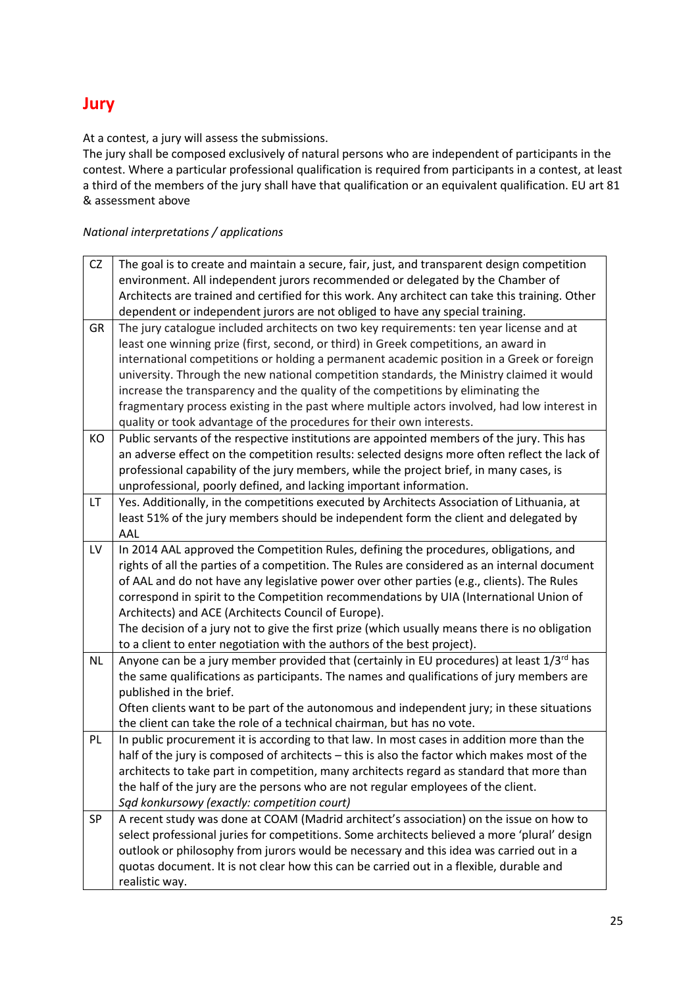### **Jury**

At a contest, a jury will assess the submissions.

The jury shall be composed exclusively of natural persons who are independent of participants in the contest. Where a particular professional qualification is required from participants in a contest, at least a third of the members of the jury shall have that qualification or an equivalent qualification. EU art 81 & assessment above

| <b>CZ</b> | The goal is to create and maintain a secure, fair, just, and transparent design competition     |
|-----------|-------------------------------------------------------------------------------------------------|
|           | environment. All independent jurors recommended or delegated by the Chamber of                  |
|           | Architects are trained and certified for this work. Any architect can take this training. Other |
|           | dependent or independent jurors are not obliged to have any special training.                   |
| GR        | The jury catalogue included architects on two key requirements: ten year license and at         |
|           | least one winning prize (first, second, or third) in Greek competitions, an award in            |
|           | international competitions or holding a permanent academic position in a Greek or foreign       |
|           | university. Through the new national competition standards, the Ministry claimed it would       |
|           | increase the transparency and the quality of the competitions by eliminating the                |
|           | fragmentary process existing in the past where multiple actors involved, had low interest in    |
|           | quality or took advantage of the procedures for their own interests.                            |
| KO        | Public servants of the respective institutions are appointed members of the jury. This has      |
|           | an adverse effect on the competition results: selected designs more often reflect the lack of   |
|           | professional capability of the jury members, while the project brief, in many cases, is         |
|           | unprofessional, poorly defined, and lacking important information.                              |
| <b>LT</b> | Yes. Additionally, in the competitions executed by Architects Association of Lithuania, at      |
|           | least 51% of the jury members should be independent form the client and delegated by            |
|           | AAL                                                                                             |
| LV        | In 2014 AAL approved the Competition Rules, defining the procedures, obligations, and           |
|           | rights of all the parties of a competition. The Rules are considered as an internal document    |
|           | of AAL and do not have any legislative power over other parties (e.g., clients). The Rules      |
|           | correspond in spirit to the Competition recommendations by UIA (International Union of          |
|           | Architects) and ACE (Architects Council of Europe).                                             |
|           | The decision of a jury not to give the first prize (which usually means there is no obligation  |
|           | to a client to enter negotiation with the authors of the best project).                         |
| <b>NL</b> | Anyone can be a jury member provided that (certainly in EU procedures) at least $1/3^{rd}$ has  |
|           | the same qualifications as participants. The names and qualifications of jury members are       |
|           | published in the brief.                                                                         |
|           | Often clients want to be part of the autonomous and independent jury; in these situations       |
|           | the client can take the role of a technical chairman, but has no vote.                          |
| PL        | In public procurement it is according to that law. In most cases in addition more than the      |
|           | half of the jury is composed of architects - this is also the factor which makes most of the    |
|           | architects to take part in competition, many architects regard as standard that more than       |
|           | the half of the jury are the persons who are not regular employees of the client.               |
|           | Sąd konkursowy (exactly: competition court)                                                     |
| SP        | A recent study was done at COAM (Madrid architect's association) on the issue on how to         |
|           | select professional juries for competitions. Some architects believed a more 'plural' design    |
|           | outlook or philosophy from jurors would be necessary and this idea was carried out in a         |
|           | quotas document. It is not clear how this can be carried out in a flexible, durable and         |
|           | realistic way.                                                                                  |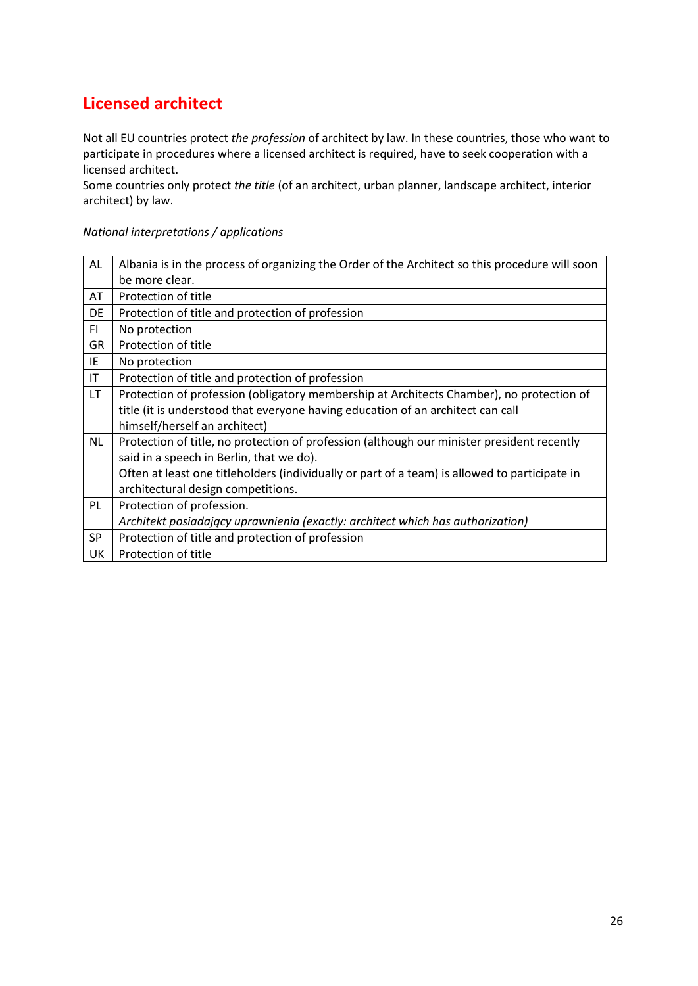### **Licensed architect**

Not all EU countries protect *the profession* of architect by law. In these countries, those who want to participate in procedures where a licensed architect is required, have to seek cooperation with a licensed architect.

Some countries only protect *the title* (of an architect, urban planner, landscape architect, interior architect) by law.

| AL                     | Albania is in the process of organizing the Order of the Architect so this procedure will soon |
|------------------------|------------------------------------------------------------------------------------------------|
|                        | be more clear.                                                                                 |
| AT                     | Protection of title                                                                            |
| DE                     | Protection of title and protection of profession                                               |
| FI.                    | No protection                                                                                  |
| <b>GR</b>              | Protection of title                                                                            |
| IE                     | No protection                                                                                  |
| $\mathsf{I}\mathsf{T}$ | Protection of title and protection of profession                                               |
| LT.                    | Protection of profession (obligatory membership at Architects Chamber), no protection of       |
|                        | title (it is understood that everyone having education of an architect can call                |
|                        | himself/herself an architect)                                                                  |
| <b>NL</b>              | Protection of title, no protection of profession (although our minister president recently     |
|                        | said in a speech in Berlin, that we do).                                                       |
|                        | Often at least one titleholders (individually or part of a team) is allowed to participate in  |
|                        | architectural design competitions.                                                             |
| PL                     | Protection of profession.                                                                      |
|                        | Architekt posiadający uprawnienia (exactly: architect which has authorization)                 |
| <b>SP</b>              | Protection of title and protection of profession                                               |
| UK                     | Protection of title                                                                            |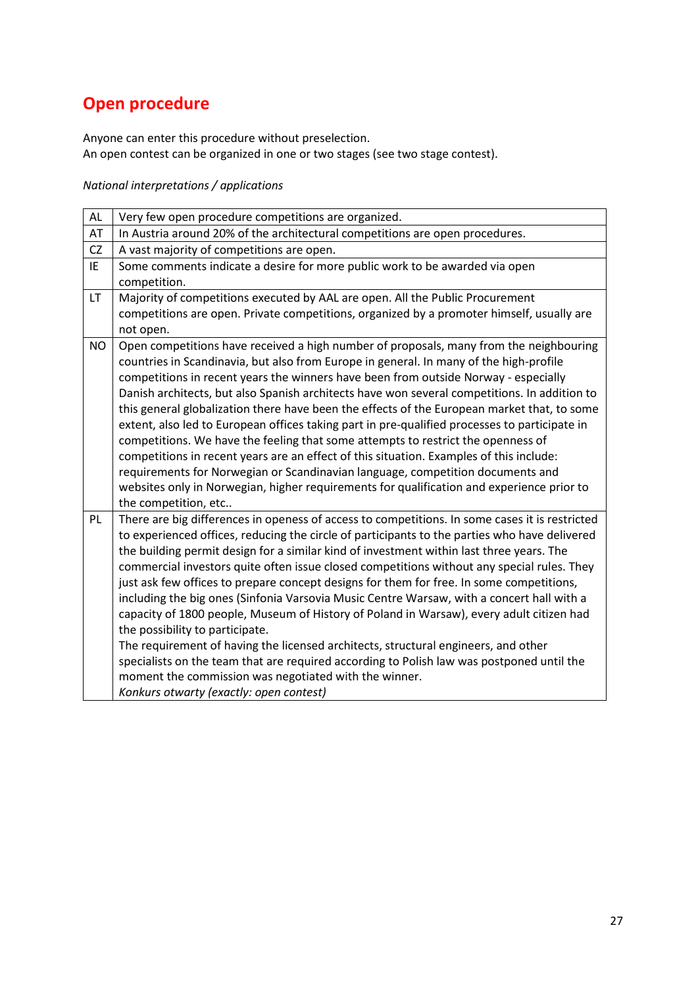## **Open procedure**

Anyone can enter this procedure without preselection. An open contest can be organized in one or two stages (see two stage contest).

| AL        | Very few open procedure competitions are organized.                                                                                                                                             |
|-----------|-------------------------------------------------------------------------------------------------------------------------------------------------------------------------------------------------|
| AT        | In Austria around 20% of the architectural competitions are open procedures.                                                                                                                    |
| <b>CZ</b> | A vast majority of competitions are open.                                                                                                                                                       |
| IE        | Some comments indicate a desire for more public work to be awarded via open                                                                                                                     |
|           | competition.                                                                                                                                                                                    |
| LT.       | Majority of competitions executed by AAL are open. All the Public Procurement                                                                                                                   |
|           | competitions are open. Private competitions, organized by a promoter himself, usually are                                                                                                       |
|           | not open.                                                                                                                                                                                       |
| <b>NO</b> | Open competitions have received a high number of proposals, many from the neighbouring                                                                                                          |
|           | countries in Scandinavia, but also from Europe in general. In many of the high-profile                                                                                                          |
|           | competitions in recent years the winners have been from outside Norway - especially                                                                                                             |
|           | Danish architects, but also Spanish architects have won several competitions. In addition to                                                                                                    |
|           | this general globalization there have been the effects of the European market that, to some                                                                                                     |
|           | extent, also led to European offices taking part in pre-qualified processes to participate in                                                                                                   |
|           | competitions. We have the feeling that some attempts to restrict the openness of                                                                                                                |
|           | competitions in recent years are an effect of this situation. Examples of this include:                                                                                                         |
|           | requirements for Norwegian or Scandinavian language, competition documents and                                                                                                                  |
|           | websites only in Norwegian, higher requirements for qualification and experience prior to                                                                                                       |
| PL.       | the competition, etc                                                                                                                                                                            |
|           | There are big differences in openess of access to competitions. In some cases it is restricted<br>to experienced offices, reducing the circle of participants to the parties who have delivered |
|           | the building permit design for a similar kind of investment within last three years. The                                                                                                        |
|           | commercial investors quite often issue closed competitions without any special rules. They                                                                                                      |
|           | just ask few offices to prepare concept designs for them for free. In some competitions,                                                                                                        |
|           | including the big ones (Sinfonia Varsovia Music Centre Warsaw, with a concert hall with a                                                                                                       |
|           | capacity of 1800 people, Museum of History of Poland in Warsaw), every adult citizen had                                                                                                        |
|           | the possibility to participate.                                                                                                                                                                 |
|           | The requirement of having the licensed architects, structural engineers, and other                                                                                                              |
|           | specialists on the team that are required according to Polish law was postponed until the                                                                                                       |
|           | moment the commission was negotiated with the winner.                                                                                                                                           |
|           | Konkurs otwarty (exactly: open contest)                                                                                                                                                         |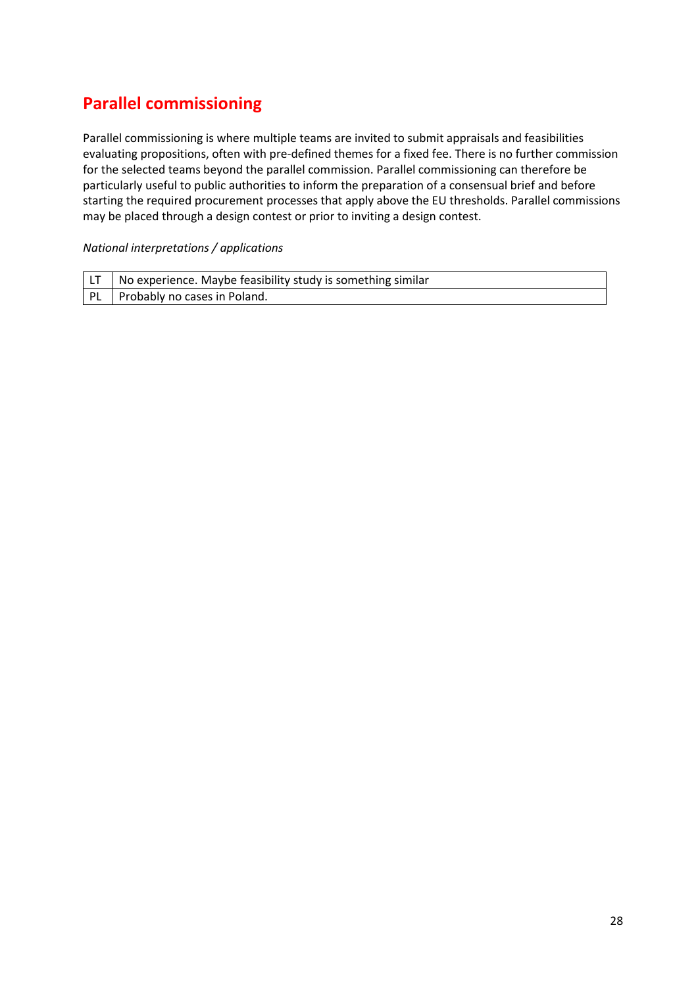### **Parallel commissioning**

Parallel commissioning is where multiple teams are invited to submit appraisals and feasibilities evaluating propositions, often with pre-defined themes for a fixed fee. There is no further commission for the selected teams beyond the parallel commission. Parallel commissioning can therefore be particularly useful to public authorities to inform the preparation of a consensual brief and before starting the required procurement processes that apply above the EU thresholds. Parallel commissions may be placed through a design contest or prior to inviting a design contest.

| $\vert$ LT $\vert$ No experience. Maybe feasibility study is something similar |
|--------------------------------------------------------------------------------|
| PL Probably no cases in Poland.                                                |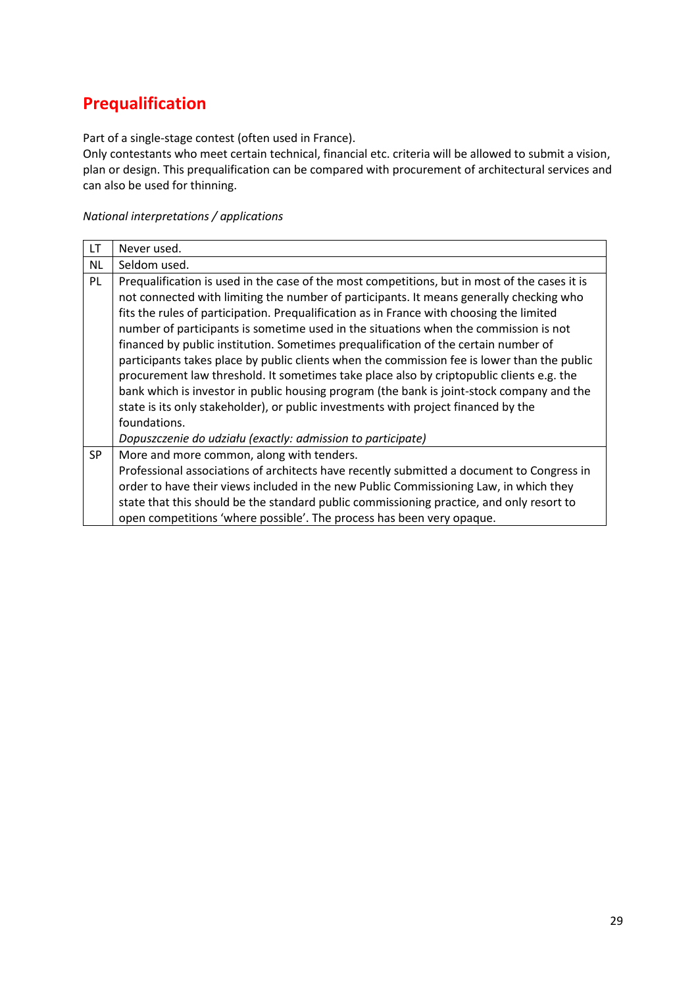### **Prequalification**

Part of a single-stage contest (often used in France).

Only contestants who meet certain technical, financial etc. criteria will be allowed to submit a vision, plan or design. This prequalification can be compared with procurement of architectural services and can also be used for thinning.

| <b>LT</b> | Never used.                                                                                   |
|-----------|-----------------------------------------------------------------------------------------------|
| <b>NL</b> | Seldom used.                                                                                  |
| PL        | Prequalification is used in the case of the most competitions, but in most of the cases it is |
|           | not connected with limiting the number of participants. It means generally checking who       |
|           | fits the rules of participation. Prequalification as in France with choosing the limited      |
|           | number of participants is sometime used in the situations when the commission is not          |
|           | financed by public institution. Sometimes prequalification of the certain number of           |
|           | participants takes place by public clients when the commission fee is lower than the public   |
|           | procurement law threshold. It sometimes take place also by criptopublic clients e.g. the      |
|           | bank which is investor in public housing program (the bank is joint-stock company and the     |
|           | state is its only stakeholder), or public investments with project financed by the            |
|           | foundations.                                                                                  |
|           | Dopuszczenie do udziału (exactly: admission to participate)                                   |
| <b>SP</b> | More and more common, along with tenders.                                                     |
|           | Professional associations of architects have recently submitted a document to Congress in     |
|           | order to have their views included in the new Public Commissioning Law, in which they         |
|           | state that this should be the standard public commissioning practice, and only resort to      |
|           | open competitions 'where possible'. The process has been very opaque.                         |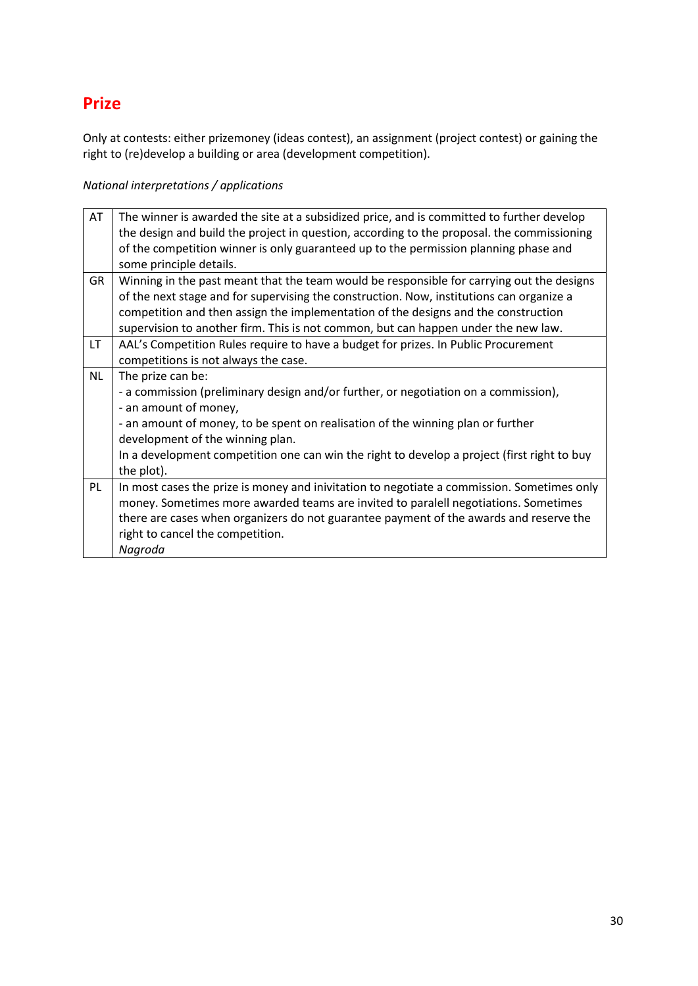### **Prize**

Only at contests: either prizemoney (ideas contest), an assignment (project contest) or gaining the right to (re)develop a building or area (development competition).

| AT        | The winner is awarded the site at a subsidized price, and is committed to further develop   |
|-----------|---------------------------------------------------------------------------------------------|
|           | the design and build the project in question, according to the proposal. the commissioning  |
|           | of the competition winner is only guaranteed up to the permission planning phase and        |
|           | some principle details.                                                                     |
| <b>GR</b> | Winning in the past meant that the team would be responsible for carrying out the designs   |
|           | of the next stage and for supervising the construction. Now, institutions can organize a    |
|           | competition and then assign the implementation of the designs and the construction          |
|           | supervision to another firm. This is not common, but can happen under the new law.          |
| LT.       | AAL's Competition Rules require to have a budget for prizes. In Public Procurement          |
|           | competitions is not always the case.                                                        |
| <b>NL</b> | The prize can be:                                                                           |
|           | - a commission (preliminary design and/or further, or negotiation on a commission),         |
|           | - an amount of money,                                                                       |
|           | - an amount of money, to be spent on realisation of the winning plan or further             |
|           | development of the winning plan.                                                            |
|           | In a development competition one can win the right to develop a project (first right to buy |
|           | the plot).                                                                                  |
| PL        | In most cases the prize is money and inivitation to negotiate a commission. Sometimes only  |
|           | money. Sometimes more awarded teams are invited to paralell negotiations. Sometimes         |
|           | there are cases when organizers do not guarantee payment of the awards and reserve the      |
|           | right to cancel the competition.                                                            |
|           | Nagroda                                                                                     |
|           |                                                                                             |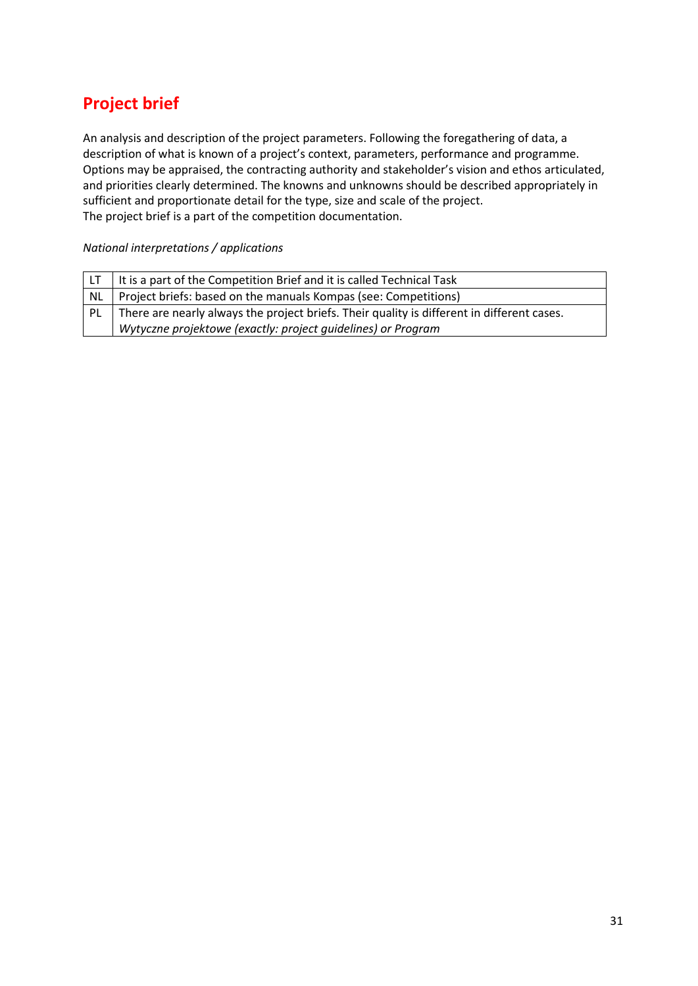## **Project brief**

An analysis and description of the project parameters. Following the foregathering of data, a description of what is known of a project's context, parameters, performance and programme. Options may be appraised, the contracting authority and stakeholder's vision and ethos articulated, and priorities clearly determined. The knowns and unknowns should be described appropriately in sufficient and proportionate detail for the type, size and scale of the project. The project brief is a part of the competition documentation.

|           | It is a part of the Competition Brief and it is called Technical Task                      |
|-----------|--------------------------------------------------------------------------------------------|
| <b>NL</b> | Project briefs: based on the manuals Kompas (see: Competitions)                            |
| <b>PL</b> | There are nearly always the project briefs. Their quality is different in different cases. |
|           | Wytyczne projektowe (exactly: project guidelines) or Program                               |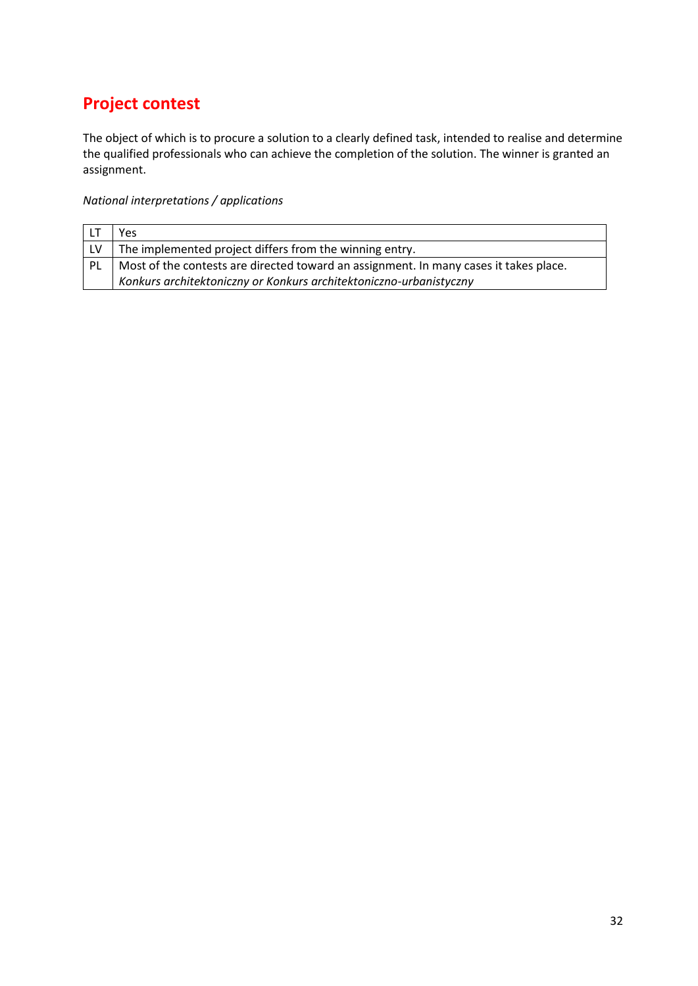## **Project contest**

The object of which is to procure a solution to a clearly defined task, intended to realise and determine the qualified professionals who can achieve the completion of the solution. The winner is granted an assignment.

|     | Yes                                                                                   |
|-----|---------------------------------------------------------------------------------------|
|     | The implemented project differs from the winning entry.                               |
| -PL | Most of the contests are directed toward an assignment. In many cases it takes place. |
|     | Konkurs architektoniczny or Konkurs architektoniczno-urbanistyczny                    |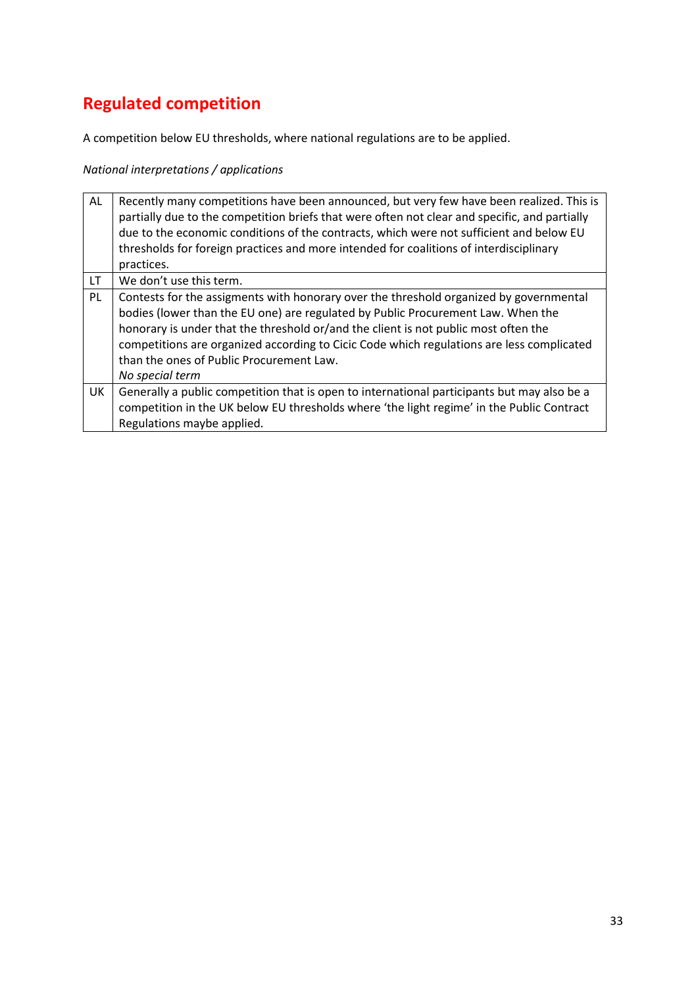# **Regulated competition**

A competition below EU thresholds, where national regulations are to be applied.

| AL  | Recently many competitions have been announced, but very few have been realized. This is<br>partially due to the competition briefs that were often not clear and specific, and partially<br>due to the economic conditions of the contracts, which were not sufficient and below EU<br>thresholds for foreign practices and more intended for coalitions of interdisciplinary<br>practices.                                  |
|-----|-------------------------------------------------------------------------------------------------------------------------------------------------------------------------------------------------------------------------------------------------------------------------------------------------------------------------------------------------------------------------------------------------------------------------------|
| LT. | We don't use this term.                                                                                                                                                                                                                                                                                                                                                                                                       |
| PL  | Contests for the assigments with honorary over the threshold organized by governmental<br>bodies (lower than the EU one) are regulated by Public Procurement Law. When the<br>honorary is under that the threshold or/and the client is not public most often the<br>competitions are organized according to Cicic Code which regulations are less complicated<br>than the ones of Public Procurement Law.<br>No special term |
| UK  | Generally a public competition that is open to international participants but may also be a<br>competition in the UK below EU thresholds where 'the light regime' in the Public Contract<br>Regulations maybe applied.                                                                                                                                                                                                        |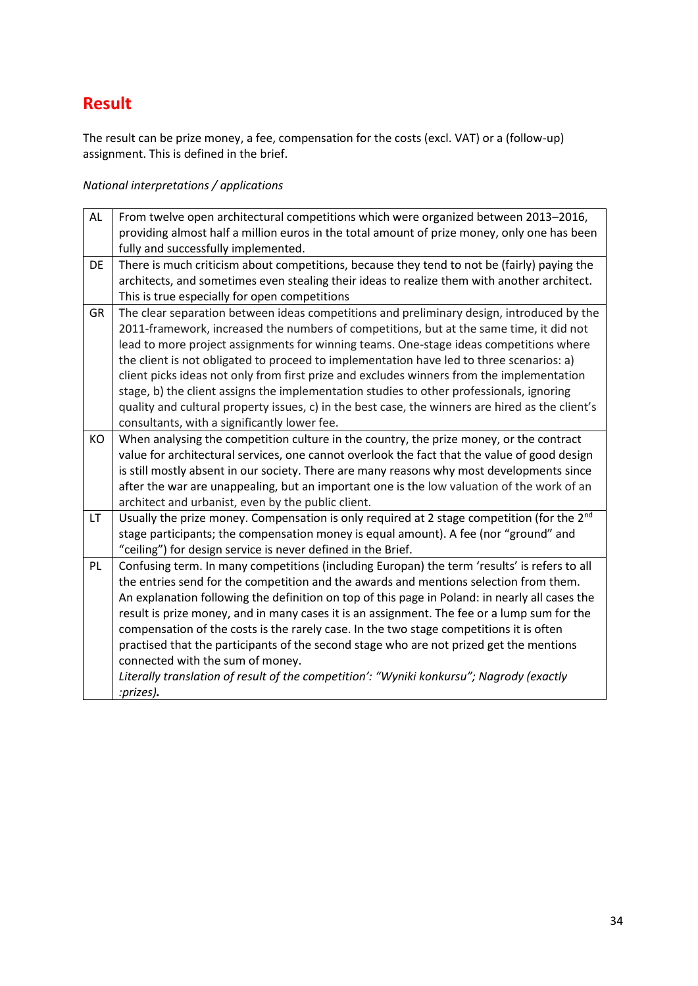### **Result**

The result can be prize money, a fee, compensation for the costs (excl. VAT) or a (follow-up) assignment. This is defined in the brief.

| AL        | From twelve open architectural competitions which were organized between 2013-2016,<br>providing almost half a million euros in the total amount of prize money, only one has been<br>fully and successfully implemented.                                                                                                                                                                                                                                                                                                                                                                                                                                                                                                 |
|-----------|---------------------------------------------------------------------------------------------------------------------------------------------------------------------------------------------------------------------------------------------------------------------------------------------------------------------------------------------------------------------------------------------------------------------------------------------------------------------------------------------------------------------------------------------------------------------------------------------------------------------------------------------------------------------------------------------------------------------------|
| DE        | There is much criticism about competitions, because they tend to not be (fairly) paying the<br>architects, and sometimes even stealing their ideas to realize them with another architect.<br>This is true especially for open competitions                                                                                                                                                                                                                                                                                                                                                                                                                                                                               |
| <b>GR</b> | The clear separation between ideas competitions and preliminary design, introduced by the<br>2011-framework, increased the numbers of competitions, but at the same time, it did not<br>lead to more project assignments for winning teams. One-stage ideas competitions where<br>the client is not obligated to proceed to implementation have led to three scenarios: a)<br>client picks ideas not only from first prize and excludes winners from the implementation<br>stage, b) the client assigns the implementation studies to other professionals, ignoring<br>quality and cultural property issues, c) in the best case, the winners are hired as the client's<br>consultants, with a significantly lower fee.   |
| KO        | When analysing the competition culture in the country, the prize money, or the contract<br>value for architectural services, one cannot overlook the fact that the value of good design<br>is still mostly absent in our society. There are many reasons why most developments since<br>after the war are unappealing, but an important one is the low valuation of the work of an<br>architect and urbanist, even by the public client.                                                                                                                                                                                                                                                                                  |
| <b>LT</b> | Usually the prize money. Compensation is only required at 2 stage competition (for the $2^{nd}$<br>stage participants; the compensation money is equal amount). A fee (nor "ground" and<br>"ceiling") for design service is never defined in the Brief.                                                                                                                                                                                                                                                                                                                                                                                                                                                                   |
| PL        | Confusing term. In many competitions (including Europan) the term 'results' is refers to all<br>the entries send for the competition and the awards and mentions selection from them.<br>An explanation following the definition on top of this page in Poland: in nearly all cases the<br>result is prize money, and in many cases it is an assignment. The fee or a lump sum for the<br>compensation of the costs is the rarely case. In the two stage competitions it is often<br>practised that the participants of the second stage who are not prized get the mentions<br>connected with the sum of money.<br>Literally translation of result of the competition': "Wyniki konkursu"; Nagrody (exactly<br>:prizes). |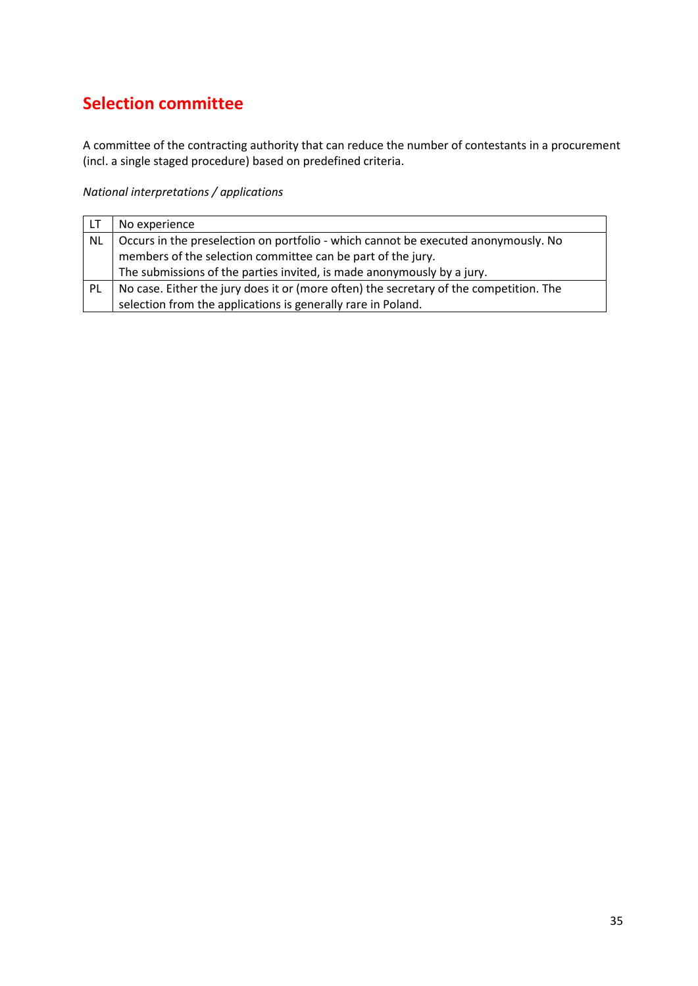### **Selection committee**

A committee of the contracting authority that can reduce the number of contestants in a procurement (incl. a single staged procedure) based on predefined criteria.

| l LT      | No experience                                                                          |
|-----------|----------------------------------------------------------------------------------------|
| <b>NL</b> | Occurs in the preselection on portfolio - which cannot be executed anonymously. No     |
|           | members of the selection committee can be part of the jury.                            |
|           | The submissions of the parties invited, is made anonymously by a jury.                 |
| PL        | No case. Either the jury does it or (more often) the secretary of the competition. The |
|           | selection from the applications is generally rare in Poland.                           |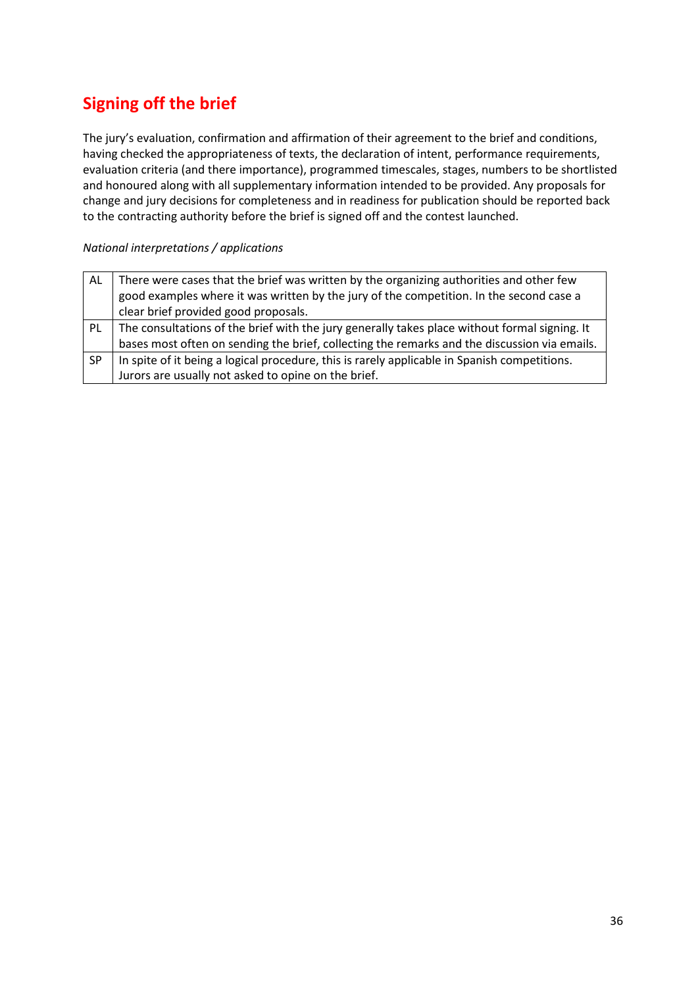# **Signing off the brief**

The jury's evaluation, confirmation and affirmation of their agreement to the brief and conditions, having checked the appropriateness of texts, the declaration of intent, performance requirements, evaluation criteria (and there importance), programmed timescales, stages, numbers to be shortlisted and honoured along with all supplementary information intended to be provided. Any proposals for change and jury decisions for completeness and in readiness for publication should be reported back to the contracting authority before the brief is signed off and the contest launched.

| AL        | There were cases that the brief was written by the organizing authorities and other few       |
|-----------|-----------------------------------------------------------------------------------------------|
|           | good examples where it was written by the jury of the competition. In the second case a       |
|           | clear brief provided good proposals.                                                          |
| PL        | The consultations of the brief with the jury generally takes place without formal signing. It |
|           | bases most often on sending the brief, collecting the remarks and the discussion via emails.  |
| <b>SP</b> | In spite of it being a logical procedure, this is rarely applicable in Spanish competitions.  |
|           | Jurors are usually not asked to opine on the brief.                                           |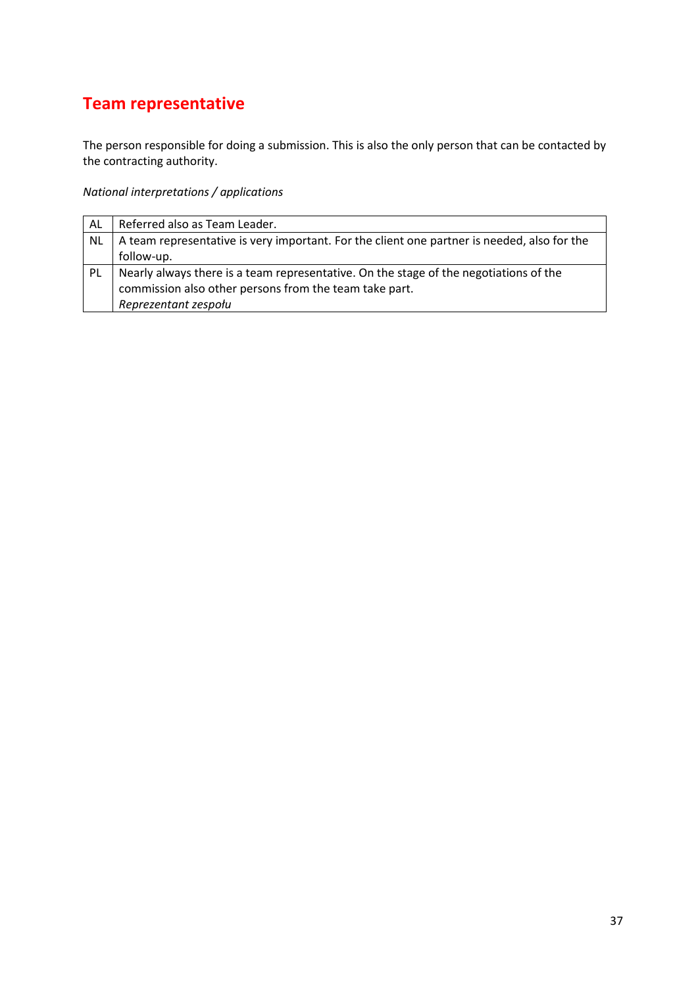# **Team representative**

The person responsible for doing a submission. This is also the only person that can be contacted by the contracting authority.

| AL        | Referred also as Team Leader.                                                               |
|-----------|---------------------------------------------------------------------------------------------|
| <b>NL</b> | A team representative is very important. For the client one partner is needed, also for the |
|           | follow-up.                                                                                  |
| PL        | Nearly always there is a team representative. On the stage of the negotiations of the       |
|           | commission also other persons from the team take part.                                      |
|           | Reprezentant zespołu                                                                        |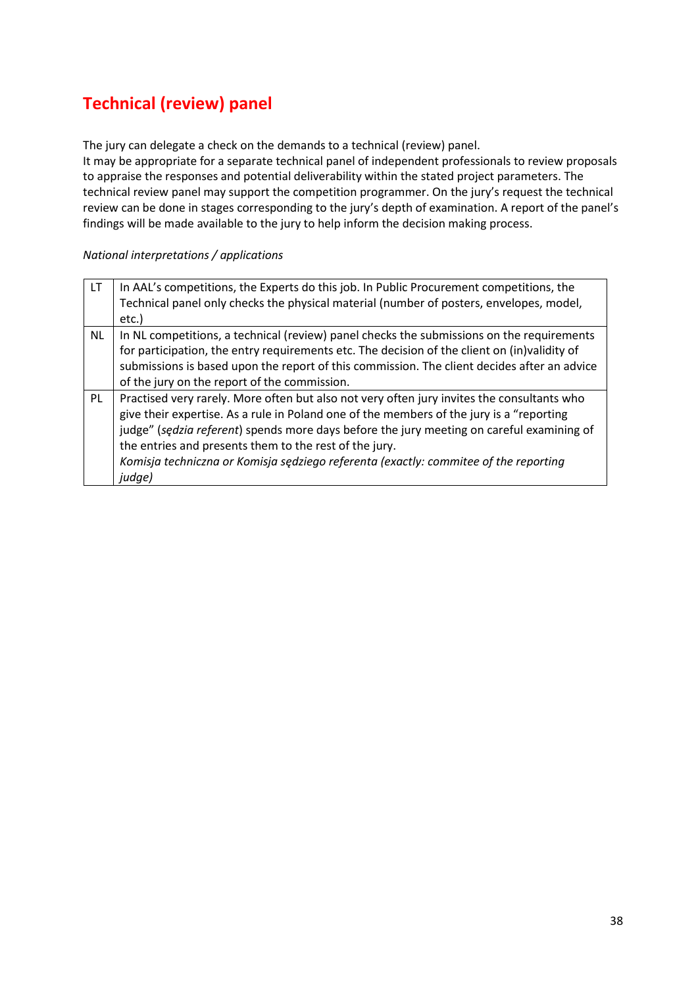## **Technical (review) panel**

The jury can delegate a check on the demands to a technical (review) panel.

It may be appropriate for a separate technical panel of independent professionals to review proposals to appraise the responses and potential deliverability within the stated project parameters. The technical review panel may support the competition programmer. On the jury's request the technical review can be done in stages corresponding to the jury's depth of examination. A report of the panel's findings will be made available to the jury to help inform the decision making process.

| LT <sub>1</sub> | In AAL's competitions, the Experts do this job. In Public Procurement competitions, the      |
|-----------------|----------------------------------------------------------------------------------------------|
|                 | Technical panel only checks the physical material (number of posters, envelopes, model,      |
|                 | etc.)                                                                                        |
| <b>NL</b>       | In NL competitions, a technical (review) panel checks the submissions on the requirements    |
|                 | for participation, the entry requirements etc. The decision of the client on (in)validity of |
|                 | submissions is based upon the report of this commission. The client decides after an advice  |
|                 | of the jury on the report of the commission.                                                 |
| PL              | Practised very rarely. More often but also not very often jury invites the consultants who   |
|                 | give their expertise. As a rule in Poland one of the members of the jury is a "reporting     |
|                 | judge" (sedzia referent) spends more days before the jury meeting on careful examining of    |
|                 | the entries and presents them to the rest of the jury.                                       |
|                 | Komisja techniczna or Komisja sędziego referenta (exactly: commitee of the reporting         |
|                 | judge)                                                                                       |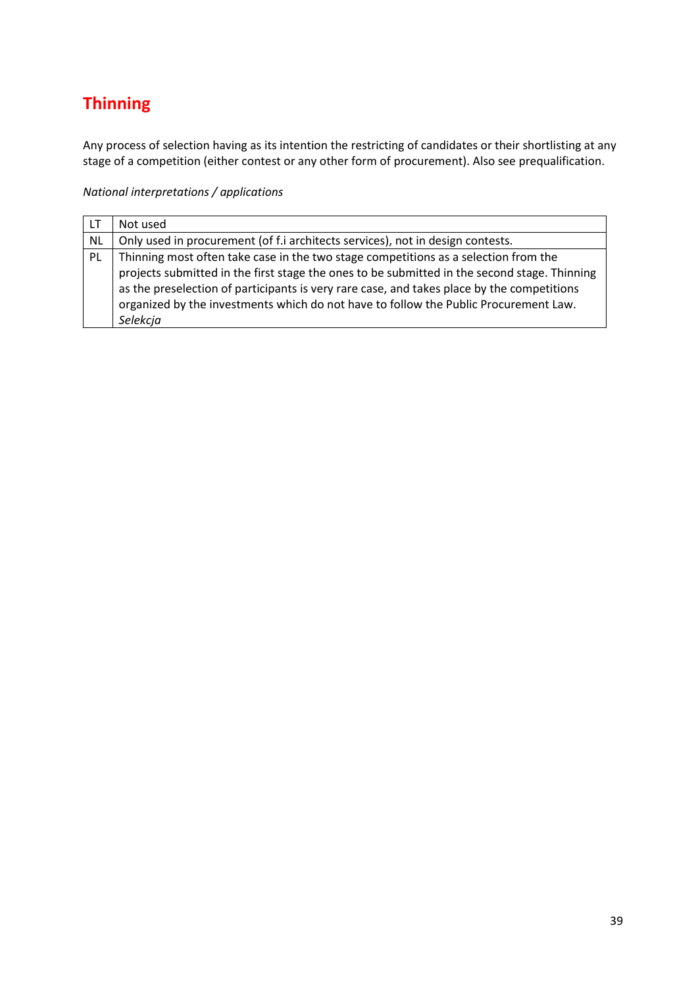# **Thinning**

Any process of selection having as its intention the restricting of candidates or their shortlisting at any stage of a competition (either contest or any other form of procurement). Also see prequalification.

| LT.       | Not used                                                                                     |
|-----------|----------------------------------------------------------------------------------------------|
| <b>NL</b> | Only used in procurement (of f.i architects services), not in design contests.               |
| PL        | Thinning most often take case in the two stage competitions as a selection from the          |
|           | projects submitted in the first stage the ones to be submitted in the second stage. Thinning |
|           | as the preselection of participants is very rare case, and takes place by the competitions   |
|           | organized by the investments which do not have to follow the Public Procurement Law.         |
|           | Selekcja                                                                                     |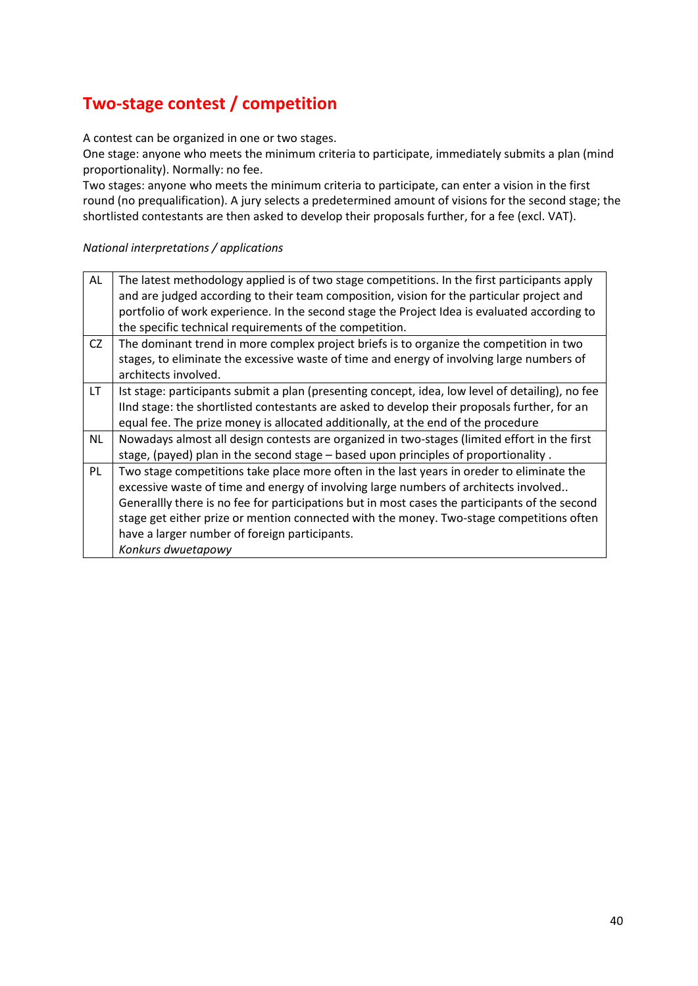### **Two-stage contest / competition**

A contest can be organized in one or two stages.

One stage: anyone who meets the minimum criteria to participate, immediately submits a plan (mind proportionality). Normally: no fee.

Two stages: anyone who meets the minimum criteria to participate, can enter a vision in the first round (no prequalification). A jury selects a predetermined amount of visions for the second stage; the shortlisted contestants are then asked to develop their proposals further, for a fee (excl. VAT).

| AL        | The latest methodology applied is of two stage competitions. In the first participants apply     |
|-----------|--------------------------------------------------------------------------------------------------|
|           | and are judged according to their team composition, vision for the particular project and        |
|           | portfolio of work experience. In the second stage the Project Idea is evaluated according to     |
|           | the specific technical requirements of the competition.                                          |
| CZ        | The dominant trend in more complex project briefs is to organize the competition in two          |
|           | stages, to eliminate the excessive waste of time and energy of involving large numbers of        |
|           | architects involved.                                                                             |
| LT.       | Ist stage: participants submit a plan (presenting concept, idea, low level of detailing), no fee |
|           | IInd stage: the shortlisted contestants are asked to develop their proposals further, for an     |
|           | equal fee. The prize money is allocated additionally, at the end of the procedure                |
| <b>NL</b> | Nowadays almost all design contests are organized in two-stages (limited effort in the first     |
|           | stage, (payed) plan in the second stage - based upon principles of proportionality.              |
| PL        | Two stage competitions take place more often in the last years in oreder to eliminate the        |
|           | excessive waste of time and energy of involving large numbers of architects involved             |
|           | Generallly there is no fee for participations but in most cases the participants of the second   |
|           | stage get either prize or mention connected with the money. Two-stage competitions often         |
|           | have a larger number of foreign participants.                                                    |
|           | Konkurs dwuetapowy                                                                               |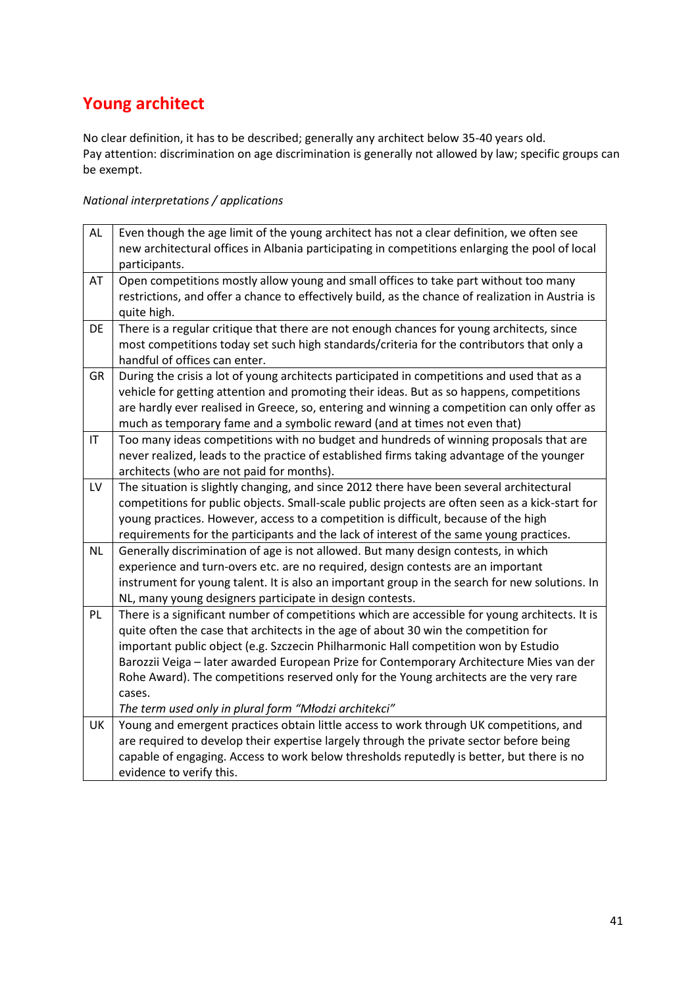## **Young architect**

No clear definition, it has to be described; generally any architect below 35-40 years old. Pay attention: discrimination on age discrimination is generally not allowed by law; specific groups can be exempt.

| <b>AL</b> | Even though the age limit of the young architect has not a clear definition, we often see<br>new architectural offices in Albania participating in competitions enlarging the pool of local |
|-----------|---------------------------------------------------------------------------------------------------------------------------------------------------------------------------------------------|
|           | participants.                                                                                                                                                                               |
| AT        | Open competitions mostly allow young and small offices to take part without too many                                                                                                        |
|           | restrictions, and offer a chance to effectively build, as the chance of realization in Austria is                                                                                           |
|           | quite high.                                                                                                                                                                                 |
| DE        | There is a regular critique that there are not enough chances for young architects, since                                                                                                   |
|           | most competitions today set such high standards/criteria for the contributors that only a                                                                                                   |
|           | handful of offices can enter.                                                                                                                                                               |
| <b>GR</b> | During the crisis a lot of young architects participated in competitions and used that as a                                                                                                 |
|           | vehicle for getting attention and promoting their ideas. But as so happens, competitions                                                                                                    |
|           | are hardly ever realised in Greece, so, entering and winning a competition can only offer as                                                                                                |
|           | much as temporary fame and a symbolic reward (and at times not even that)                                                                                                                   |
| IT        | Too many ideas competitions with no budget and hundreds of winning proposals that are                                                                                                       |
|           | never realized, leads to the practice of established firms taking advantage of the younger                                                                                                  |
|           | architects (who are not paid for months).                                                                                                                                                   |
| LV        | The situation is slightly changing, and since 2012 there have been several architectural                                                                                                    |
|           | competitions for public objects. Small-scale public projects are often seen as a kick-start for                                                                                             |
|           | young practices. However, access to a competition is difficult, because of the high                                                                                                         |
|           | requirements for the participants and the lack of interest of the same young practices.                                                                                                     |
| <b>NL</b> | Generally discrimination of age is not allowed. But many design contests, in which                                                                                                          |
|           | experience and turn-overs etc. are no required, design contests are an important                                                                                                            |
|           | instrument for young talent. It is also an important group in the search for new solutions. In                                                                                              |
| PL        | NL, many young designers participate in design contests.<br>There is a significant number of competitions which are accessible for young architects. It is                                  |
|           |                                                                                                                                                                                             |
|           | quite often the case that architects in the age of about 30 win the competition for                                                                                                         |
|           | important public object (e.g. Szczecin Philharmonic Hall competition won by Estudio<br>Barozzii Veiga - later awarded European Prize for Contemporary Architecture Mies van der             |
|           | Rohe Award). The competitions reserved only for the Young architects are the very rare                                                                                                      |
|           | cases.                                                                                                                                                                                      |
|           | The term used only in plural form "Młodzi architekci"                                                                                                                                       |
| UK        | Young and emergent practices obtain little access to work through UK competitions, and                                                                                                      |
|           | are required to develop their expertise largely through the private sector before being                                                                                                     |
|           |                                                                                                                                                                                             |
|           | capable of engaging. Access to work below thresholds reputedly is better, but there is no                                                                                                   |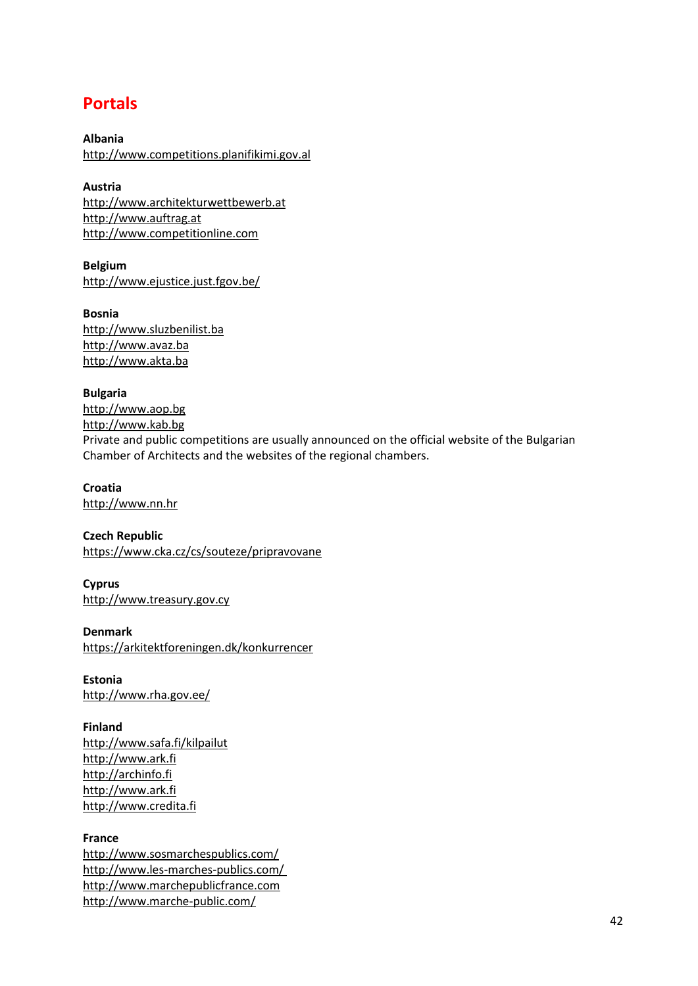### **Portals**

**Albania** [http://www.competitions.planifikimi.gov.al](http://www.competitions.planifikimi.gov.al/)

**Austria** [http://www.architekturwettbewerb.at](http://www.architekturwettbewerb.at/) [http://www.auftrag.at](http://www.auftrag.at/) [http://www.competitionline.com](http://www.competitionline.com/)

**Belgium** [http://www.ejustice.just.fgov.be/](http://www.ejustice.just.fgov.be/cgi_bul/bul.pl)

**Bosnia** [http://www.sluzbenilist.ba](http://www.sluzbenilist.ba/) [http://www.avaz.ba](http://www.avaz.ba/) [http://www.akta.ba](http://www.akta.ba/)

**Bulgaria** [http://www.aop.bg](http://www.aop.bg/) [http://www.kab.bg](http://www.kab.bg/a/nav/news/type/5) Private and public competitions are usually announced on the official website of the Bulgarian Chamber of Architects and the websites of the regional chambers.

**Croatia** [http://www.nn.hr](http://www.nn.hr/)

**Czech Republic** <https://www.cka.cz/cs/souteze/pripravovane>

**Cyprus** [http://www.treasury.gov.cy](http://www.treasury.gov.cy/)

**Denmark** <https://arkitektforeningen.dk/konkurrencer>

**Estonia** <http://www.rha.gov.ee/>

**Finland** <http://www.safa.fi/kilpailut> [http://www.ark.fi](http://www.ark.fi/) [http://archinfo.fi](http://archinfo.fi/) [http://www.ark.fi](http://www.ark.fi/) [http://www.credita.fi](http://www.credita.fi/)

#### **France**

<http://www.sosmarchespublics.com/> <http://www.les-marches-publics.com/> [http://www.marchepublicfrance.com](http://www.marchepublicfrance.com/)  <http://www.marche-public.com/>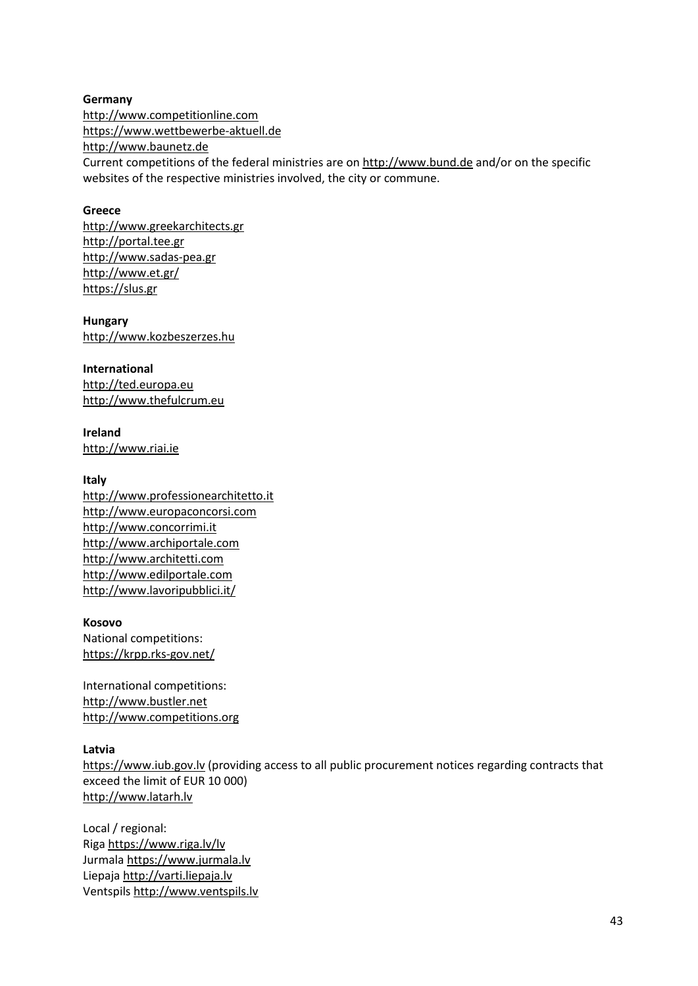**Germany** [http://www.competitionline.com](http://www.competitionline.com/) [https://www.wettbewerbe-aktuell.de](https://www.wettbewerbe-aktuell.de/) [http://www.baunetz.de](http://www.baunetz.de/) Current competitions of the federal ministries are on [http://www.bund.de](http://www.bund.de/) and/or on the specific websites of the respective ministries involved, the city or commune.

#### **Greece**

[http://www.greekarchitects.gr](http://www.greekarchitects.gr/) [http://portal.tee.gr](http://portal.tee.gr/portal/page/portal/tptee/SERVICES_INFORM_TPTEE/prokhrixeis_meleton) [http://www.sadas-pea.gr](http://www.sadas-pea.gr/) <http://www.et.gr/> [https://slus.gr](https://slus.gr/)

**Hungary** [http://www.kozbeszerzes.hu](http://www.kozbeszerzes.hu/)

**International** [http://ted.europa.eu](http://ted.europa.eu/) [http://www.thefulcrum.eu](http://www.thefulcrum.eu/)

**Ireland** [http://www.riai.ie](http://www.riai.ie/)

#### **Italy**

[http://www.professionearchitetto.it](http://www.professionearchitetto.it/) [http://www.europaconcorsi.com](http://www.europaconcorsi.com/) [http://www.concorrimi.it](http://www.concorrimi.it/) [http://www.archiportale.com](http://www.archiportale.com/) [http://www.architetti.com](http://www.architetti.com/) [http://www.edilportale.com](http://www.edilportale.com/) <http://www.lavoripubblici.it/>

#### **Kosovo**

National competitions: <https://krpp.rks-gov.net/>

International competitions: [http://www.bustler.net](http://www.bustler.net/) [http://www.competitions.org](http://www.competitions.org/)

#### **Latvia**

[https://www.iub.gov.lv](https://www.iub.gov.lv/) (providing access to all public procurement notices regarding contracts that exceed the limit of EUR 10 000) [http://www.latarh.lv](http://www.latarh.lv/)

Local / regional: Riga<https://www.riga.lv/lv> Jurmala [https://www.jurmala.lv](https://www.jurmala.lv/) Liepaja [http://varti.liepaja.lv](http://varti.liepaja.lv/) Ventspils [http://www.ventspils.lv](http://www.ventspils.lv/)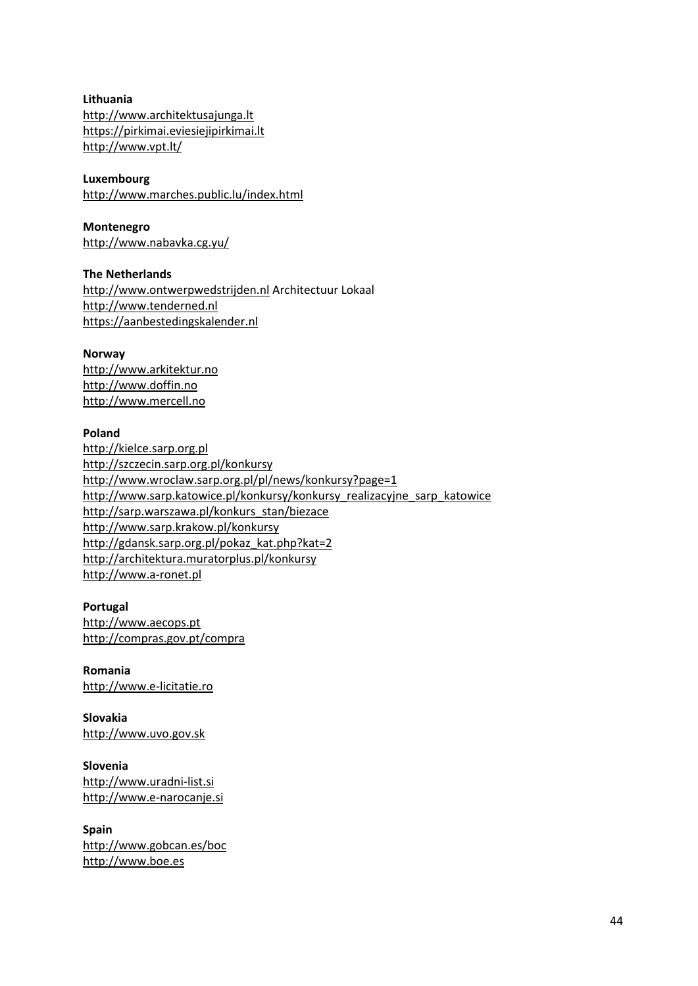**Lithuania** [http://www.architektusajunga.lt](http://www.architektusajunga.lt/) [https://pirkimai.eviesiejipirkimai.lt](https://pirkimai.eviesiejipirkimai.lt/) <http://www.vpt.lt/>

#### **Luxembourg**

<http://www.marches.public.lu/index.html>

#### **Montenegro**

<http://www.nabavka.cg.yu/>

### **The Netherlands**

[http://www.ontwerpwedstrijden.nl](http://www.ontwerpwedstrijden.nl/) Architectuur Lokaal [http://www.tenderned.nl](http://www.tenderned.nl/) [https://aanbestedingskalender.nl](https://aanbestedingskalender.nl/)

#### **Norway**

[http://www.arkitektur.no](http://www.arkitektur.no/) [http://www.doffin.no](http://www.doffin.no/) [http://www.mercell.no](http://www.mercell.no/)

### **Poland**

[http://kielce.sarp.org.pl](http://kielce.sarp.org.pl/) <http://szczecin.sarp.org.pl/konkursy> <http://www.wroclaw.sarp.org.pl/pl/news/konkursy?page=1> [http://www.sarp.katowice.pl/konkursy/konkursy\\_realizacyjne\\_sarp\\_katowice](http://www.sarp.katowice.pl/konkursy/konkursy_realizacyjne_sarp_katowice/) [http://sarp.warszawa.pl/konkurs\\_stan/biezace](http://sarp.warszawa.pl/konkurs_stan/biezace/) <http://www.sarp.krakow.pl/konkursy> [http://gdansk.sarp.org.pl/pokaz\\_kat.php?kat=2](http://gdansk.sarp.org.pl/pokaz_kat.php?kat=2) [http://architektura.muratorplus.pl/konkursy](http://architektura.muratorplus.pl/konkursy/) [http://www.a-ronet.pl](http://www.a-ronet.pl/)

#### **Portugal** [http://www.aecops.pt](http://www.aecops.pt/) <http://compras.gov.pt/compra>

**Romania** [http://www.e-licitatie.ro](http://www.e-licitatie.ro/)

#### **Slovakia** [http://www.uvo.gov.sk](http://www.uvo.gov.sk/)

**Slovenia** [http://www.uradni-list.si](http://www.uradni-list.si/) [http://www.e-narocanje.si](http://www.e-narocanje.si/)

### **Spain** <http://www.gobcan.es/boc> [http://www.boe.es](http://www.boe.es/)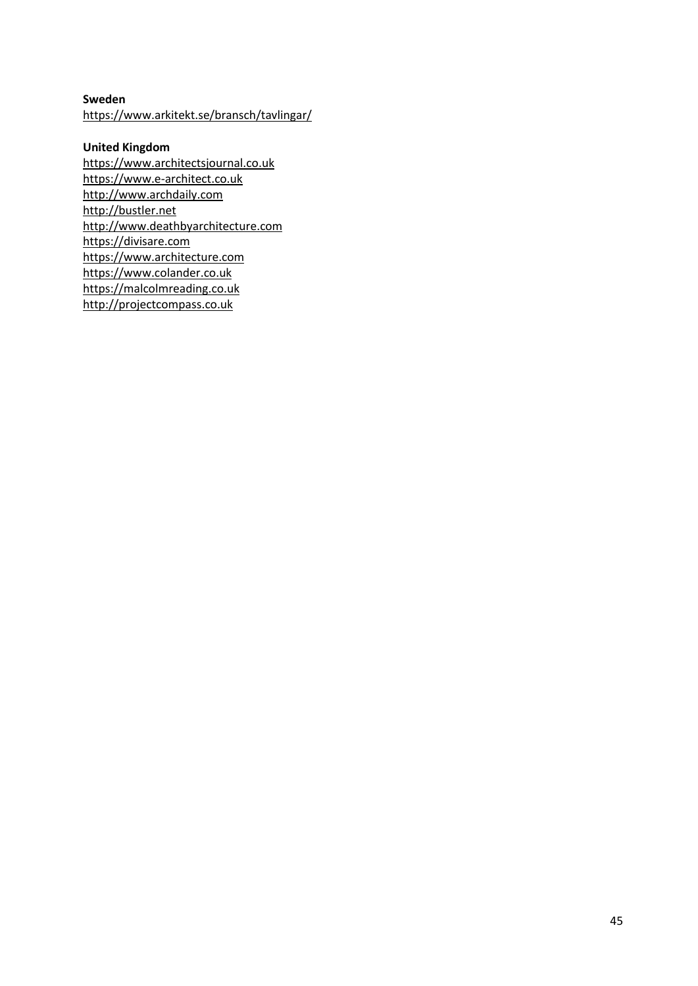### **Sweden** <https://www.arkitekt.se/bransch/tavlingar/>

### **United Kingdom**

[https://www.architectsjournal.co.uk](https://www.architectsjournal.co.uk/) [https://www.e-architect.co.uk](https://www.e-architect.co.uk/) [http://www.archdaily.com](http://www.archdaily.com/) [http://bustler.net](http://bustler.net/) [http://www.deathbyarchitecture.com](http://www.deathbyarchitecture.com/) [https://divisare.com](https://divisare.com/) [https://www.architecture.com](https://www.architecture.com/awards-and-competitions-landing-page/competitions-landing-page) [https://www.colander.co.uk](https://www.colander.co.uk/) [https://malcolmreading.co.uk](https://malcolmreading.co.uk/) [http://projectcompass.co.uk](http://projectcompass.co.uk/)